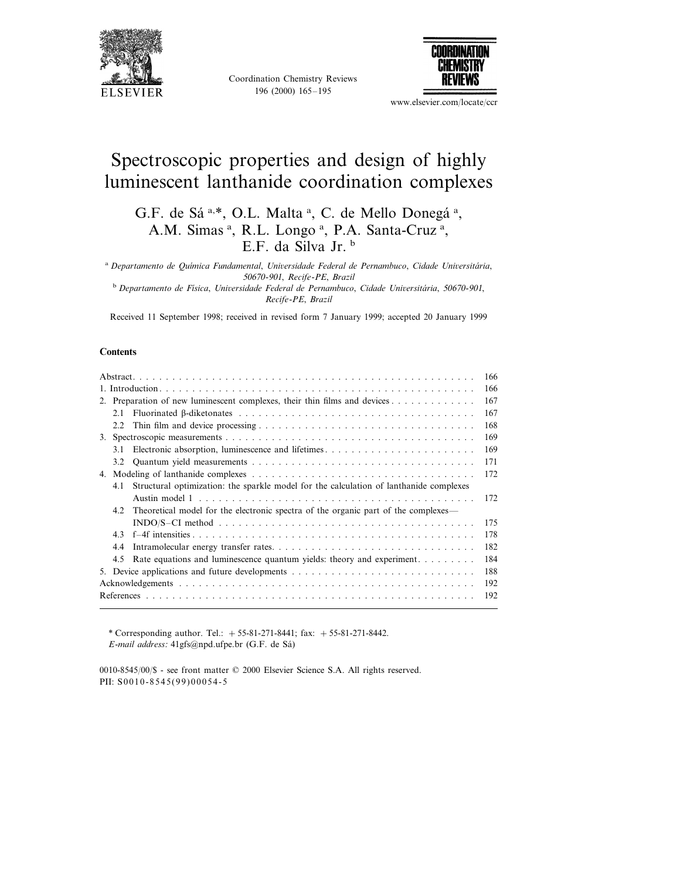

Coordination Chemistry Reviews 196 (2000) 165–195



www.elsevier.com/locate/ccr

# Spectroscopic properties and design of highly luminescent lanthanide coordination complexes

G.F. de Sá<sup>a,\*</sup>, O.L. Malta<sup>a</sup>, C. de Mello Donegá<sup>a</sup>, A.M. Simas<sup>a</sup>, R.L. Longo<sup>a</sup>, P.A. Santa-Cruz<sup>a</sup>, E.F. da Silva Jr. <sup>b</sup>

<sup>a</sup> Departamento de Química Fundamental, Universidade Federal de Pernambuco, Cidade Universitária, 50670-901, *Recife*-*PE*, *Brazil* <sup>b</sup> Departamento de Física, Universidade Federal de Pernambuco, Cidade Universitária, 50670-901, *Recife*-*PE*, *Brazil*

Received 11 September 1998; received in revised form 7 January 1999; accepted 20 January 1999

#### **Contents**

| 2. Preparation of new luminescent complexes, their thin films and devices |     |                                                                                        |     |  |  |  |  |
|---------------------------------------------------------------------------|-----|----------------------------------------------------------------------------------------|-----|--|--|--|--|
|                                                                           | 2.1 |                                                                                        | 167 |  |  |  |  |
|                                                                           | 2.2 |                                                                                        | 168 |  |  |  |  |
|                                                                           |     |                                                                                        |     |  |  |  |  |
|                                                                           | 31  |                                                                                        | 169 |  |  |  |  |
|                                                                           |     |                                                                                        | 171 |  |  |  |  |
| 4.                                                                        |     |                                                                                        | 172 |  |  |  |  |
|                                                                           | 4.1 | Structural optimization: the sparkle model for the calculation of lanthanide complexes |     |  |  |  |  |
|                                                                           |     |                                                                                        | 172 |  |  |  |  |
|                                                                           | 42  | Theoretical model for the electronic spectra of the organic part of the complexes—     |     |  |  |  |  |
|                                                                           |     |                                                                                        | 175 |  |  |  |  |
|                                                                           | 43  |                                                                                        | 178 |  |  |  |  |
|                                                                           | 4.4 |                                                                                        | 182 |  |  |  |  |
|                                                                           | 4.5 | Rate equations and luminescence quantum yields: theory and experiment                  | 184 |  |  |  |  |
|                                                                           |     | 5. Device applications and future developments                                         | 188 |  |  |  |  |
|                                                                           | 192 |                                                                                        |     |  |  |  |  |
|                                                                           | 192 |                                                                                        |     |  |  |  |  |
|                                                                           |     |                                                                                        |     |  |  |  |  |

\* Corresponding author. Tel.: +55-81-271-8441; fax: +55-81-271-8442. *E*-*mail address*: 41gfs@npd.ufpe.br (G.F. de Sa´)

0010-8545/00/\$ - see front matter © 2000 Elsevier Science S.A. All rights reserved. PII: S0010-8545(99)00054-5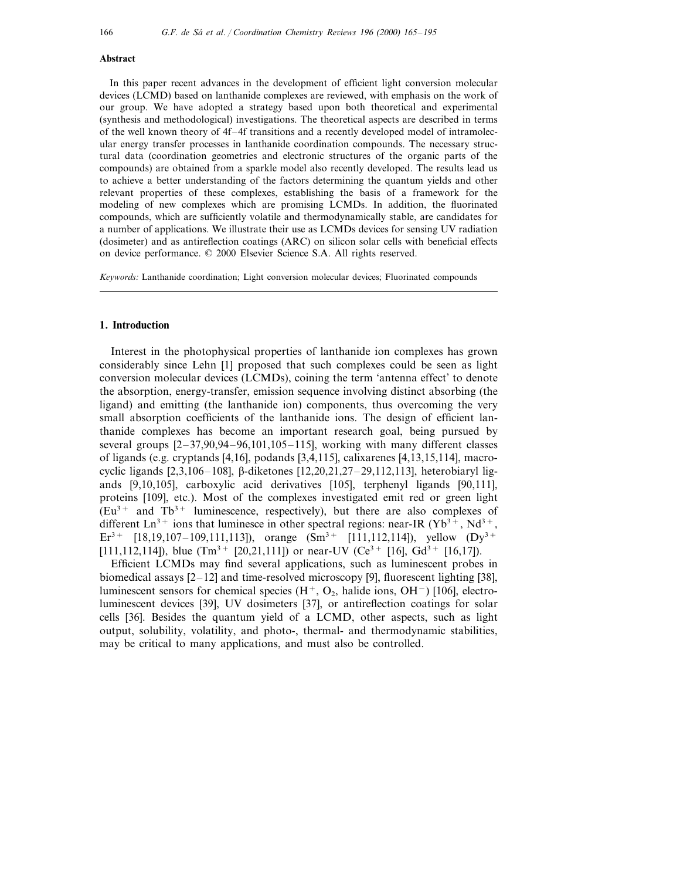#### **Abstract**

In this paper recent advances in the development of efficient light conversion molecular devices (LCMD) based on lanthanide complexes are reviewed, with emphasis on the work of our group. We have adopted a strategy based upon both theoretical and experimental (synthesis and methodological) investigations. The theoretical aspects are described in terms of the well known theory of 4f–4f transitions and a recently developed model of intramolecular energy transfer processes in lanthanide coordination compounds. The necessary structural data (coordination geometries and electronic structures of the organic parts of the compounds) are obtained from a sparkle model also recently developed. The results lead us to achieve a better understanding of the factors determining the quantum yields and other relevant properties of these complexes, establishing the basis of a framework for the modeling of new complexes which are promising LCMDs. In addition, the fluorinated compounds, which are sufficiently volatile and thermodynamically stable, are candidates for a number of applications. We illustrate their use as LCMDs devices for sensing UV radiation (dosimeter) and as antireflection coatings (ARC) on silicon solar cells with beneficial effects on device performance. © 2000 Elsevier Science S.A. All rights reserved.

*Keywords*: Lanthanide coordination; Light conversion molecular devices; Fluorinated compounds

## **1. Introduction**

Interest in the photophysical properties of lanthanide ion complexes has grown considerably since Lehn [1] proposed that such complexes could be seen as light conversion molecular devices (LCMDs), coining the term 'antenna effect' to denote the absorption, energy-transfer, emission sequence involving distinct absorbing (the ligand) and emitting (the lanthanide ion) components, thus overcoming the very small absorption coefficients of the lanthanide ions. The design of efficient lanthanide complexes has become an important research goal, being pursued by several groups  $[2-37,90,94-96,101,105-115]$ , working with many different classes of ligands (e.g. cryptands [4,16], podands [3,4,115], calixarenes [4,13,15,114], macrocyclic ligands [2,3,106–108], b-diketones [12,20,21,27–29,112,113], heterobiaryl ligands [9,10,105], carboxylic acid derivatives [105], terphenyl ligands [90,111], proteins [109], etc.). Most of the complexes investigated emit red or green light  $(Eu<sup>3+</sup>$  and Tb<sup>3+</sup> luminescence, respectively), but there are also complexes of different  $\text{Ln}^{3+}$  ions that luminesce in other spectral regions: near-IR (Yb<sup>3+</sup>, Nd<sup>3+</sup>, Er<sup>3+</sup> [18,19,107-109,111,113]), orange  $(Sm<sup>3+</sup>$  [111,112,114]), yellow  $(Dy<sup>3+</sup>$ [111,112,114]), blue  $(Tm^{3+} [20,21,111])$  or near-UV  $(Ce^{3+} [16], Gd^{3+} [16,17])$ .

Efficient LCMDs may find several applications, such as luminescent probes in biomedical assays  $[2-12]$  and time-resolved microscopy [9], fluorescent lighting [38], luminescent sensors for chemical species  $(H^+, O_2)$ , halide ions, OH<sup>-</sup>) [106], electroluminescent devices [39], UV dosimeters [37], or antireflection coatings for solar cells [36]. Besides the quantum yield of a LCMD, other aspects, such as light output, solubility, volatility, and photo-, thermal- and thermodynamic stabilities, may be critical to many applications, and must also be controlled.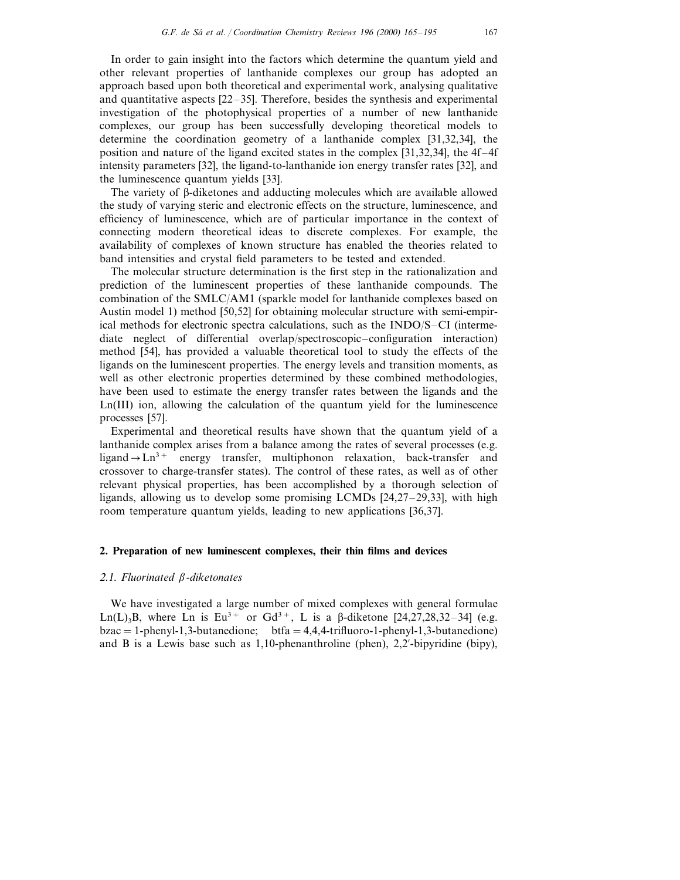In order to gain insight into the factors which determine the quantum yield and other relevant properties of lanthanide complexes our group has adopted an approach based upon both theoretical and experimental work, analysing qualitative and quantitative aspects [22–35]. Therefore, besides the synthesis and experimental investigation of the photophysical properties of a number of new lanthanide complexes, our group has been successfully developing theoretical models to determine the coordination geometry of a lanthanide complex [31,32,34], the position and nature of the ligand excited states in the complex [31,32,34], the 4f–4f intensity parameters [32], the ligand-to-lanthanide ion energy transfer rates [32], and the luminescence quantum yields [33].

The variety of  $\beta$ -diketones and adducting molecules which are available allowed the study of varying steric and electronic effects on the structure, luminescence, and efficiency of luminescence, which are of particular importance in the context of connecting modern theoretical ideas to discrete complexes. For example, the availability of complexes of known structure has enabled the theories related to band intensities and crystal field parameters to be tested and extended.

The molecular structure determination is the first step in the rationalization and prediction of the luminescent properties of these lanthanide compounds. The combination of the SMLC/AM1 (sparkle model for lanthanide complexes based on Austin model 1) method [50,52] for obtaining molecular structure with semi-empirical methods for electronic spectra calculations, such as the INDO/S–CI (intermediate neglect of differential overlap/spectroscopic–configuration interaction) method [54], has provided a valuable theoretical tool to study the effects of the ligands on the luminescent properties. The energy levels and transition moments, as well as other electronic properties determined by these combined methodologies, have been used to estimate the energy transfer rates between the ligands and the Ln(III) ion, allowing the calculation of the quantum yield for the luminescence processes [57].

Experimental and theoretical results have shown that the quantum yield of a lanthanide complex arises from a balance among the rates of several processes (e.g. ligand  $\rightarrow$  Ln<sup>3+</sup> energy transfer, multiphonon relaxation, back-transfer and crossover to charge-transfer states). The control of these rates, as well as of other relevant physical properties, has been accomplished by a thorough selection of ligands, allowing us to develop some promising LCMDs [24,27–29,33], with high room temperature quantum yields, leading to new applications [36,37].

## **2. Preparation of new luminescent complexes, their thin films and devices**

# 2.1. *Fluorinated*  $\beta$ *-diketonates*

We have investigated a large number of mixed complexes with general formulae Ln(L)<sub>3</sub>B, where Ln is Eu<sup>3+</sup> or Gd<sup>3+</sup>, L is a  $\beta$ -diketone [24,27,28,32-34] (e.g.  $bzac = 1$ -phenyl-1,3-butanedione;  $bfa = 4,4,4$ -trifluoro-1-phenyl-1,3-butanedione) and B is a Lewis base such as  $1,10$ -phenanthroline (phen),  $2,2$ '-bipyridine (bipy),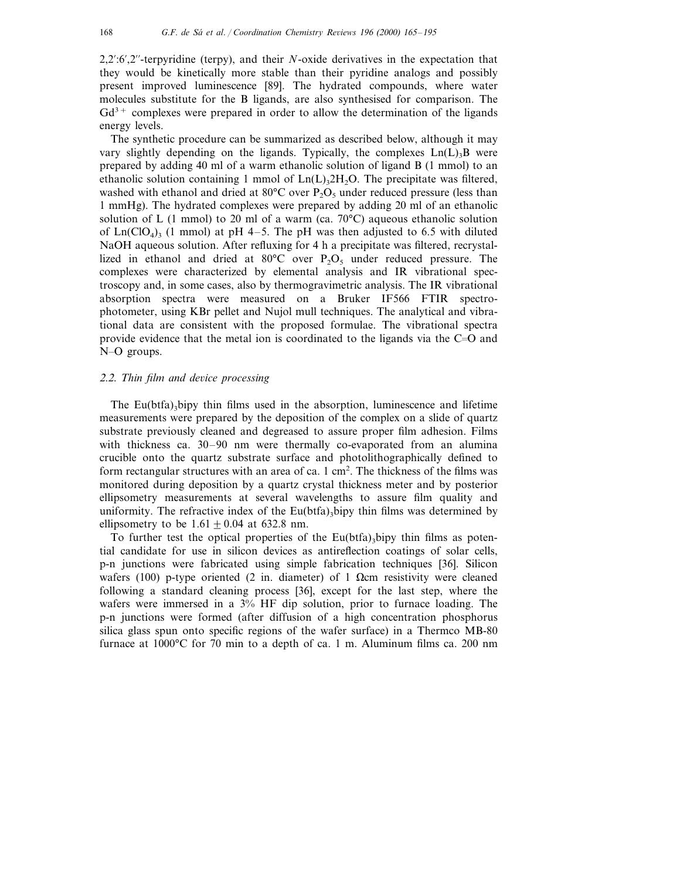2,2%:6%,2%%-terpyridine (terpy), and their *N*-oxide derivatives in the expectation that they would be kinetically more stable than their pyridine analogs and possibly present improved luminescence [89]. The hydrated compounds, where water molecules substitute for the B ligands, are also synthesised for comparison. The  $Gd^{3+}$  complexes were prepared in order to allow the determination of the ligands energy levels.

The synthetic procedure can be summarized as described below, although it may vary slightly depending on the ligands. Typically, the complexes  $Ln(L)$ <sub>3</sub>B were prepared by adding 40 ml of a warm ethanolic solution of ligand B (1 mmol) to an ethanolic solution containing 1 mmol of  $Ln(L)$ <sub>3</sub>2H<sub>2</sub>O. The precipitate was filtered, washed with ethanol and dried at  $80^{\circ}$ C over P<sub>2</sub>O<sub>5</sub> under reduced pressure (less than 1 mmHg). The hydrated complexes were prepared by adding 20 ml of an ethanolic solution of L (1 mmol) to 20 ml of a warm (ca.  $70^{\circ}$ C) aqueous ethanolic solution of Ln(ClO<sub>4</sub>)<sub>3</sub> (1 mmol) at pH 4–5. The pH was then adjusted to 6.5 with diluted NaOH aqueous solution. After refluxing for 4 h a precipitate was filtered, recrystallized in ethanol and dried at  $80^{\circ}$ C over P<sub>2</sub>O<sub>5</sub> under reduced pressure. The complexes were characterized by elemental analysis and IR vibrational spectroscopy and, in some cases, also by thermogravimetric analysis. The IR vibrational absorption spectra were measured on a Bruker IF566 FTIR spectrophotometer, using KBr pellet and Nujol mull techniques. The analytical and vibrational data are consistent with the proposed formulae. The vibrational spectra provide evidence that the metal ion is coordinated to the ligands via the  $C=O$  and N-O groups.

## 2.2. Thin film and device processing

The Eu(btfa)<sub>3</sub>bipy thin films used in the absorption, luminescence and lifetime measurements were prepared by the deposition of the complex on a slide of quartz substrate previously cleaned and degreased to assure proper film adhesion. Films with thickness ca. 30–90 nm were thermally co-evaporated from an alumina crucible onto the quartz substrate surface and photolithographically defined to form rectangular structures with an area of ca. 1 cm<sup>2</sup>. The thickness of the films was monitored during deposition by a quartz crystal thickness meter and by posterior ellipsometry measurements at several wavelengths to assure film quality and uniformity. The refractive index of the  $Eu(bta)$ , bipy thin films was determined by ellipsometry to be  $1.61 \pm 0.04$  at 632.8 nm.

To further test the optical properties of the Eu(btfa)<sub>3</sub>bipy thin films as potential candidate for use in silicon devices as antireflection coatings of solar cells, p-n junctions were fabricated using simple fabrication techniques [36]. Silicon wafers (100) p-type oriented (2 in. diameter) of 1  $\Omega$ cm resistivity were cleaned following a standard cleaning process [36], except for the last step, where the wafers were immersed in a 3% HF dip solution, prior to furnace loading. The p-n junctions were formed (after diffusion of a high concentration phosphorus silica glass spun onto specific regions of the wafer surface) in a Thermco MB-80 furnace at 1000°C for 70 min to a depth of ca. 1 m. Aluminum films ca. 200 nm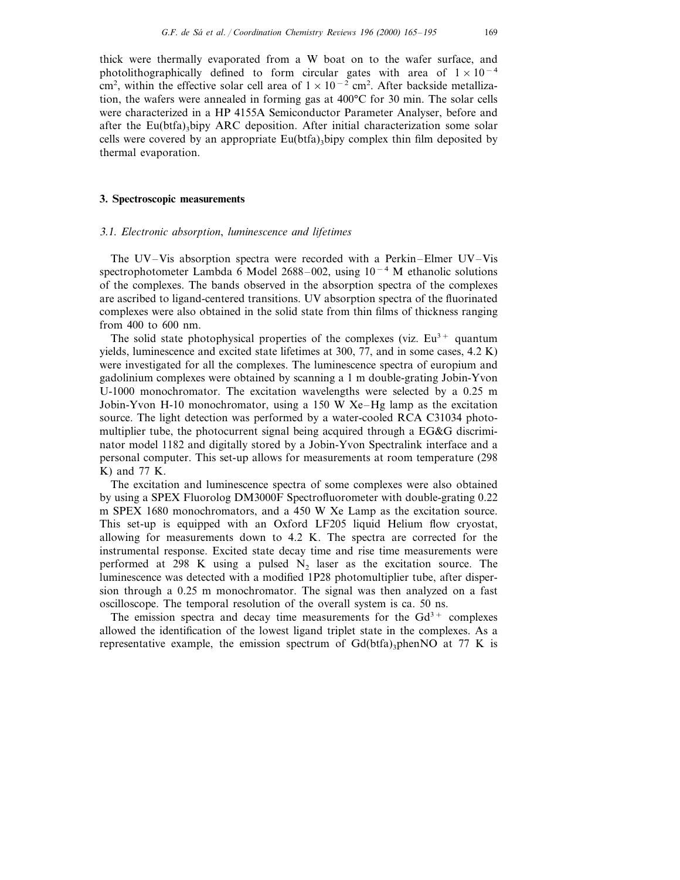# **3. Spectroscopic measurements**

thermal evaporation.

#### 3.1. *Electronic absorption*, *luminescence and lifetimes*

The UV–Vis absorption spectra were recorded with a Perkin–Elmer UV–Vis spectrophotometer Lambda 6 Model 2688–002, using  $10^{-4}$  M ethanolic solutions of the complexes. The bands observed in the absorption spectra of the complexes are ascribed to ligand-centered transitions. UV absorption spectra of the fluorinated complexes were also obtained in the solid state from thin films of thickness ranging from 400 to 600 nm.

The solid state photophysical properties of the complexes (viz.  $Eu^{3+}$  quantum yields, luminescence and excited state lifetimes at 300, 77, and in some cases, 4.2 K) were investigated for all the complexes. The luminescence spectra of europium and gadolinium complexes were obtained by scanninga1m double-grating Jobin-Yvon U-1000 monochromator. The excitation wavelengths were selected by a 0.25 m Jobin-Yvon H-10 monochromator, using a 150 W Xe–Hg lamp as the excitation source. The light detection was performed by a water-cooled RCA C31034 photomultiplier tube, the photocurrent signal being acquired through a EG&G discriminator model 1182 and digitally stored by a Jobin-Yvon Spectralink interface and a personal computer. This set-up allows for measurements at room temperature (298 K) and 77 K.

The excitation and luminescence spectra of some complexes were also obtained by using a SPEX Fluorolog DM3000F Spectrofluorometer with double-grating 0.22 m SPEX 1680 monochromators, and a 450 W Xe Lamp as the excitation source. This set-up is equipped with an Oxford LF205 liquid Helium flow cryostat, allowing for measurements down to 4.2 K. The spectra are corrected for the instrumental response. Excited state decay time and rise time measurements were performed at 298 K using a pulsed  $N_2$  laser as the excitation source. The luminescence was detected with a modified 1P28 photomultiplier tube, after dispersion through a 0.25 m monochromator. The signal was then analyzed on a fast oscilloscope. The temporal resolution of the overall system is ca. 50 ns.

The emission spectra and decay time measurements for the  $Gd^{3+}$  complexes allowed the identification of the lowest ligand triplet state in the complexes. As a representative example, the emission spectrum of  $G(d(bta)$ <sub>3</sub>phenNO at 77 K is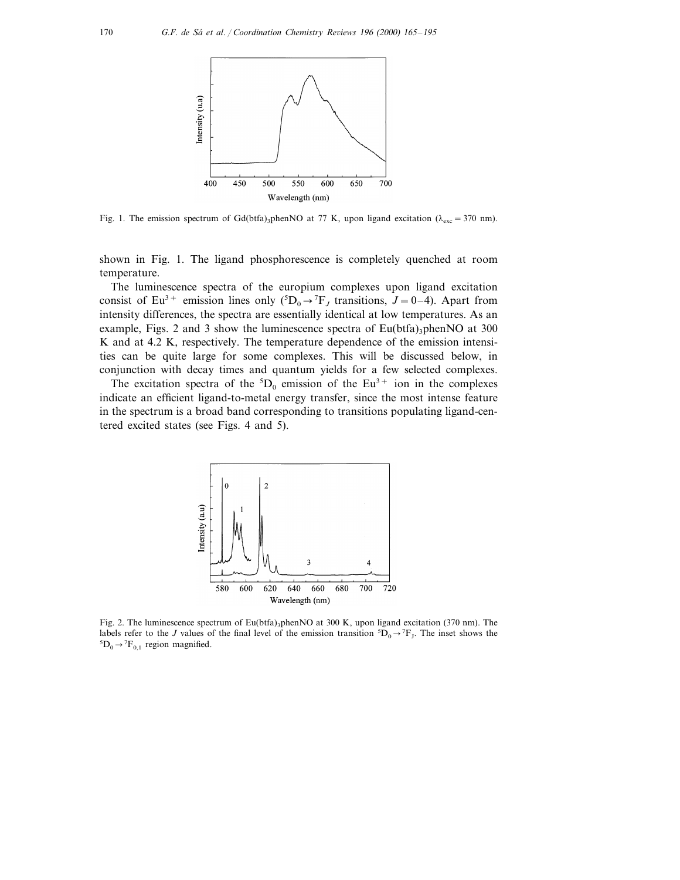

Fig. 1. The emission spectrum of Gd(btfa)<sub>3</sub>phenNO at 77 K, upon ligand excitation ( $\lambda_{\rm exc}=370$  nm).

shown in Fig. 1. The ligand phosphorescence is completely quenched at room temperature.

The luminescence spectra of the europium complexes upon ligand excitation consist of Eu<sup>3+</sup> emission lines only  $({}^{5}D_0 \rightarrow {}^{7}F_J$  transitions,  $J = 0-4$ ). Apart from intensity differences, the spectra are essentially identical at low temperatures. As an example, Figs. 2 and 3 show the luminescence spectra of  $Eu(bta)$ <sub>3</sub>phenNO at 300 K and at 4.2 K, respectively. The temperature dependence of the emission intensities can be quite large for some complexes. This will be discussed below, in conjunction with decay times and quantum yields for a few selected complexes.

The excitation spectra of the  ${}^5D_0$  emission of the Eu<sup>3+</sup> ion in the complexes indicate an efficient ligand-to-metal energy transfer, since the most intense feature in the spectrum is a broad band corresponding to transitions populating ligand-centered excited states (see Figs. 4 and 5).



Fig. 2. The luminescence spectrum of Eu(btfa)<sub>3</sub>phenNO at 300 K, upon ligand excitation (370 nm). The labels refer to the *J* values of the final level of the emission transition <sup>5</sup>D<sub>0</sub> $\rightarrow$ <sup>7</sup>F<sub>J</sub>. The inset shows the 5D  $\rightarrow$ <sup>7</sup>F<sub>1</sub> region magnified  $D_0 \rightarrow {}^7F_{0,1}$  region magnified.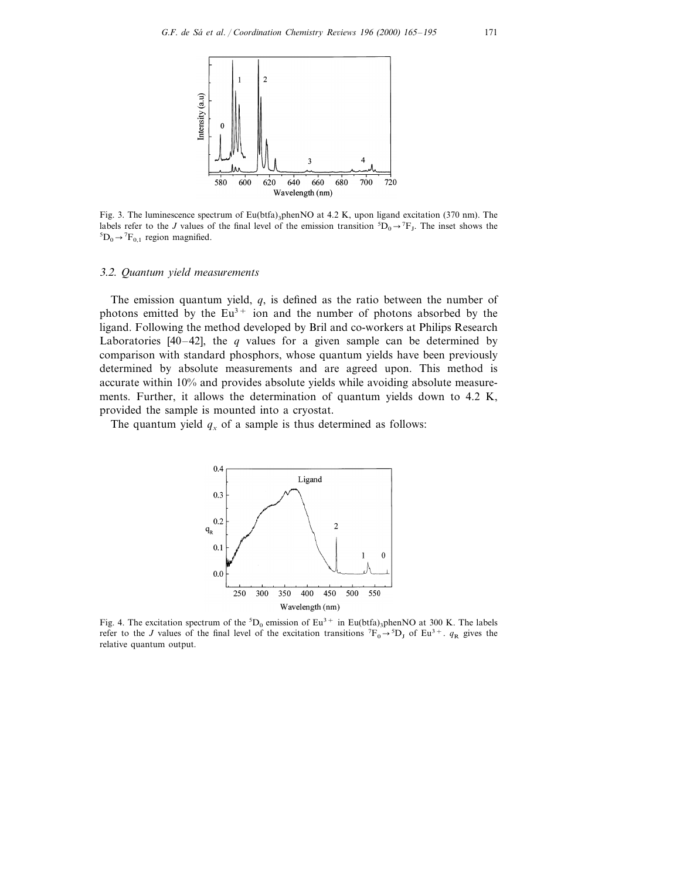

Fig. 3. The luminescence spectrum of Eu(btfa)<sub>3</sub>phenNO at 4.2 K, upon ligand excitation (370 nm). The labels refer to the *J* values of the final level of the emission transition <sup>5</sup> $D_0 \rightarrow {}^7F_J$ . The inset shows the  ${}^5D_0 \rightarrow {}^7F_J$ .  $D_0 \rightarrow {}^7F_{0,1}$  region magnified.

#### 3.2. *Quantum yield measurements*

The emission quantum yield, *q*, is defined as the ratio between the number of photons emitted by the  $Eu^{3+}$  ion and the number of photons absorbed by the ligand. Following the method developed by Bril and co-workers at Philips Research Laboratories  $[40-42]$ , the *q* values for a given sample can be determined by comparison with standard phosphors, whose quantum yields have been previously determined by absolute measurements and are agreed upon. This method is accurate within 10% and provides absolute yields while avoiding absolute measurements. Further, it allows the determination of quantum yields down to 4.2 K, provided the sample is mounted into a cryostat.

The quantum yield  $q_x$  of a sample is thus determined as follows:



Fig. 4. The excitation spectrum of the  ${}^5D_0$  emission of Eu<sup>3+</sup> in Eu(btfa)<sub>3</sub>phenNO at 300 K. The labels refer to the *J* values of the final level of the excitation transitions  ${}^{7}F_0 \rightarrow {}^{5}D_J$  of Eu<sup>3+</sup>.  $q_R$  gives the relative quantum output.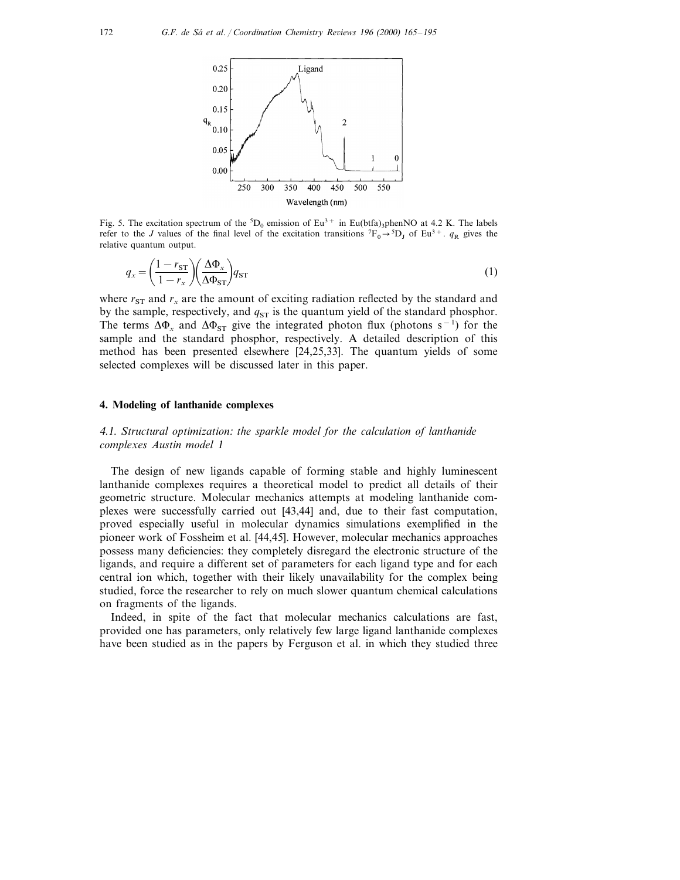

Fig. 5. The excitation spectrum of the  ${}^5D_0$  emission of Eu<sup>3+</sup> in Eu(btfa)<sub>3</sub>phenNO at 4.2 K. The labels refer to the *J* values of the final level of the excitation transitions  ${}^{7}F_0 \rightarrow {}^{5}D_J$  of Eu<sup>3+</sup>.  $q_R$  gives the relative quantum output.

$$
q_x = \left(\frac{1 - r_{ST}}{1 - r_x}\right) \left(\frac{\Delta \Phi_x}{\Delta \Phi_{ST}}\right) q_{ST}
$$
\n(1)

where  $r_{ST}$  and  $r_x$  are the amount of exciting radiation reflected by the standard and by the sample, respectively, and  $q_{ST}$  is the quantum yield of the standard phosphor. The terms  $\Delta \Phi_x$  and  $\Delta \Phi_{ST}$  give the integrated photon flux (photons s<sup>-1</sup>) for the sample and the standard phosphor, respectively. A detailed description of this method has been presented elsewhere [24,25,33]. The quantum yields of some selected complexes will be discussed later in this paper.

### **4. Modeling of lanthanide complexes**

<sup>4</sup>.1. *Structural optimization*: *the sparkle model for the calculation of lanthanide complexes Austin model* 1

The design of new ligands capable of forming stable and highly luminescent lanthanide complexes requires a theoretical model to predict all details of their geometric structure. Molecular mechanics attempts at modeling lanthanide complexes were successfully carried out [43,44] and, due to their fast computation, proved especially useful in molecular dynamics simulations exemplified in the pioneer work of Fossheim et al. [44,45]. However, molecular mechanics approaches possess many deficiencies: they completely disregard the electronic structure of the ligands, and require a different set of parameters for each ligand type and for each central ion which, together with their likely unavailability for the complex being studied, force the researcher to rely on much slower quantum chemical calculations on fragments of the ligands.

Indeed, in spite of the fact that molecular mechanics calculations are fast, provided one has parameters, only relatively few large ligand lanthanide complexes have been studied as in the papers by Ferguson et al. in which they studied three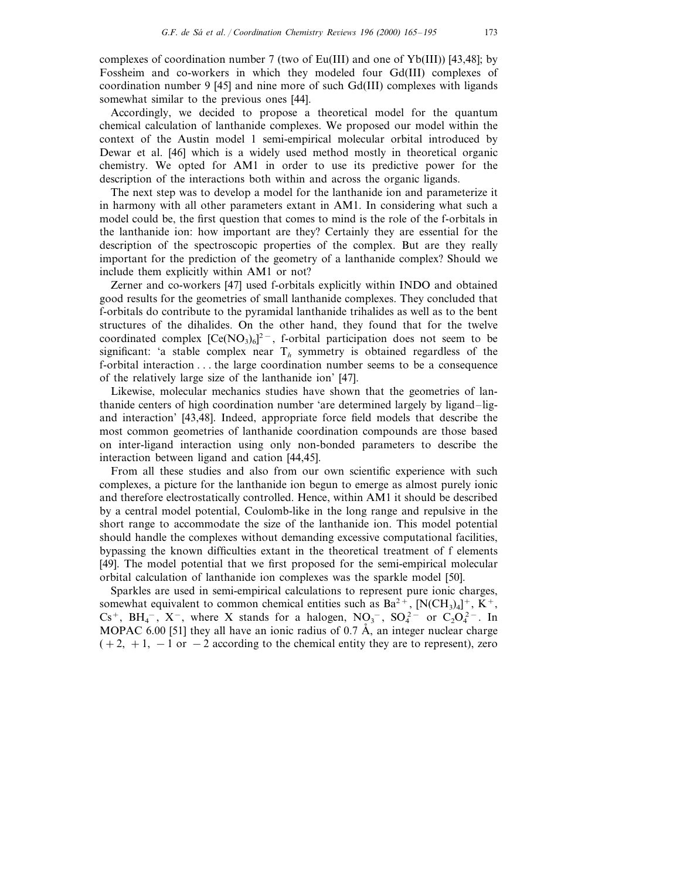complexes of coordination number 7 (two of Eu(III) and one of Yb(III)) [43,48]; by Fossheim and co-workers in which they modeled four Gd(III) complexes of coordination number 9 [45] and nine more of such Gd(III) complexes with ligands somewhat similar to the previous ones [44].

Accordingly, we decided to propose a theoretical model for the quantum chemical calculation of lanthanide complexes. We proposed our model within the context of the Austin model 1 semi-empirical molecular orbital introduced by Dewar et al. [46] which is a widely used method mostly in theoretical organic chemistry. We opted for AM1 in order to use its predictive power for the description of the interactions both within and across the organic ligands.

The next step was to develop a model for the lanthanide ion and parameterize it in harmony with all other parameters extant in AM1. In considering what such a model could be, the first question that comes to mind is the role of the f-orbitals in the lanthanide ion: how important are they? Certainly they are essential for the description of the spectroscopic properties of the complex. But are they really important for the prediction of the geometry of a lanthanide complex? Should we include them explicitly within AM1 or not?

Zerner and co-workers [47] used f-orbitals explicitly within INDO and obtained good results for the geometries of small lanthanide complexes. They concluded that f-orbitals do contribute to the pyramidal lanthanide trihalides as well as to the bent structures of the dihalides. On the other hand, they found that for the twelve coordinated complex  $[Ce(NO<sub>3</sub>)<sub>6</sub>]<sup>2</sup>$ , f-orbital participation does not seem to be significant: 'a stable complex near  $T<sub>h</sub>$  symmetry is obtained regardless of the f-orbital interaction . . . the large coordination number seems to be a consequence of the relatively large size of the lanthanide ion' [47].

Likewise, molecular mechanics studies have shown that the geometries of lanthanide centers of high coordination number 'are determined largely by ligand–ligand interaction' [43,48]. Indeed, appropriate force field models that describe the most common geometries of lanthanide coordination compounds are those based on inter-ligand interaction using only non-bonded parameters to describe the interaction between ligand and cation [44,45].

From all these studies and also from our own scientific experience with such complexes, a picture for the lanthanide ion begun to emerge as almost purely ionic and therefore electrostatically controlled. Hence, within AM1 it should be described by a central model potential, Coulomb-like in the long range and repulsive in the short range to accommodate the size of the lanthanide ion. This model potential should handle the complexes without demanding excessive computational facilities, bypassing the known difficulties extant in the theoretical treatment of f elements [49]. The model potential that we first proposed for the semi-empirical molecular orbital calculation of lanthanide ion complexes was the sparkle model [50].

Sparkles are used in semi-empirical calculations to represent pure ionic charges, somewhat equivalent to common chemical entities such as  $Ba^{2+}$ ,  $[N(CH_3)_4]^+$ ,  $K^+$ , Cs<sup>+</sup>, BH<sub>4</sub><sup>-</sup>, X<sup>-</sup>, where X stands for a halogen, NO<sub>3</sub><sup>-</sup>, SO<sub>4</sub><sup>2</sup> or C<sub>2</sub>O<sub>4</sub><sup>2</sup><sup>-</sup>. In MOPAC 6.00 [51] they all have an ionic radius of 0.7  $\AA$ , an integer nuclear charge  $(+2, +1, -1)$  or  $-2$  according to the chemical entity they are to represent), zero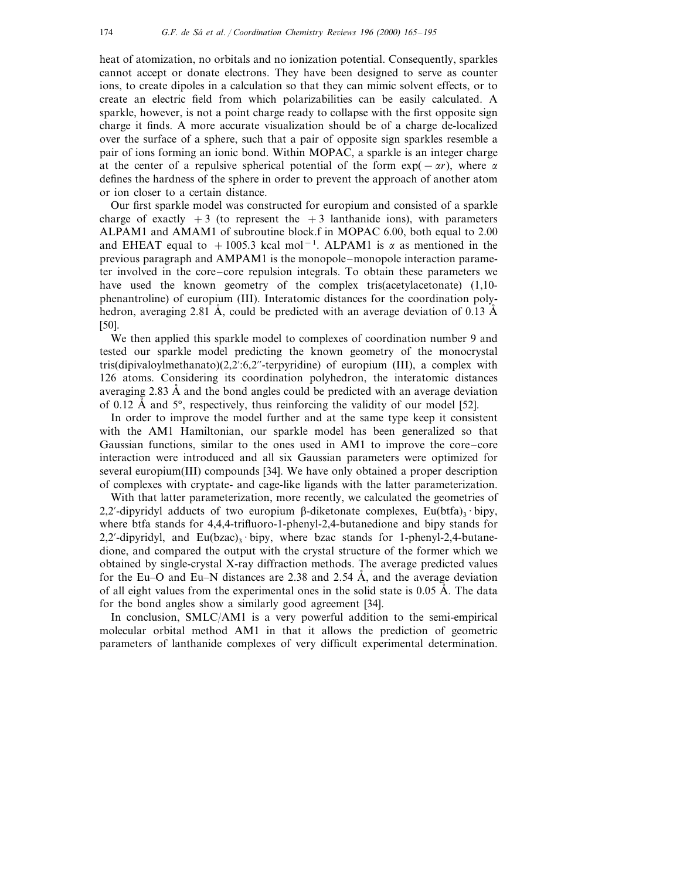heat of atomization, no orbitals and no ionization potential. Consequently, sparkles cannot accept or donate electrons. They have been designed to serve as counter ions, to create dipoles in a calculation so that they can mimic solvent effects, or to create an electric field from which polarizabilities can be easily calculated. A sparkle, however, is not a point charge ready to collapse with the first opposite sign charge it finds. A more accurate visualization should be of a charge de-localized over the surface of a sphere, such that a pair of opposite sign sparkles resemble a pair of ions forming an ionic bond. Within MOPAC, a sparkle is an integer charge at the center of a repulsive spherical potential of the form  $\exp(-\alpha r)$ , where  $\alpha$ defines the hardness of the sphere in order to prevent the approach of another atom or ion closer to a certain distance.

Our first sparkle model was constructed for europium and consisted of a sparkle charge of exactly  $+3$  (to represent the  $+3$  lanthanide ions), with parameters ALPAM1 and AMAM1 of subroutine block.f in MOPAC 6.00, both equal to 2.00 and EHEAT equal to +1005.3 kcal mol<sup>-1</sup>. ALPAM1 is  $\alpha$  as mentioned in the previous paragraph and AMPAM1 is the monopole–monopole interaction parameter involved in the core–core repulsion integrals. To obtain these parameters we have used the known geometry of the complex tris(acetylacetonate) (1,10phenantroline) of europium (III). Interatomic distances for the coordination polyhedron, averaging 2.81  $\AA$ , could be predicted with an average deviation of 0.13  $\AA$ [50].

We then applied this sparkle model to complexes of coordination number 9 and tested our sparkle model predicting the known geometry of the monocrystal tris(dipivaloylmethanato)(2,2':6,2"-terpyridine) of europium (III), a complex with 126 atoms. Considering its coordination polyhedron, the interatomic distances averaging  $2.83 \text{ Å}$  and the bond angles could be predicted with an average deviation of 0.12  $\AA$  and 5°, respectively, thus reinforcing the validity of our model [52].

In order to improve the model further and at the same type keep it consistent with the AM1 Hamiltonian, our sparkle model has been generalized so that Gaussian functions, similar to the ones used in AM1 to improve the core–core interaction were introduced and all six Gaussian parameters were optimized for several europium(III) compounds [34]. We have only obtained a proper description of complexes with cryptate- and cage-like ligands with the latter parameterization.

With that latter parameterization, more recently, we calculated the geometries of 2,2'-dipyridyl adducts of two europium  $\beta$ -diketonate complexes, Eu(btfa)<sub>3</sub> · bipy, where btfa stands for 4,4,4-trifluoro-1-phenyl-2,4-butanedione and bipy stands for 2,2'-dipyridyl, and Eu(bzac) $\frac{3}{2}$  bipy, where bzac stands for 1-phenyl-2,4-butanedione, and compared the output with the crystal structure of the former which we obtained by single-crystal X-ray diffraction methods. The average predicted values for the Eu–O and Eu–N distances are 2.38 and 2.54  $\AA$ , and the average deviation of all eight values from the experimental ones in the solid state is  $0.05 \text{ Å}$ . The data for the bond angles show a similarly good agreement [34].

In conclusion, SMLC/AM1 is a very powerful addition to the semi-empirical molecular orbital method AM1 in that it allows the prediction of geometric parameters of lanthanide complexes of very difficult experimental determination.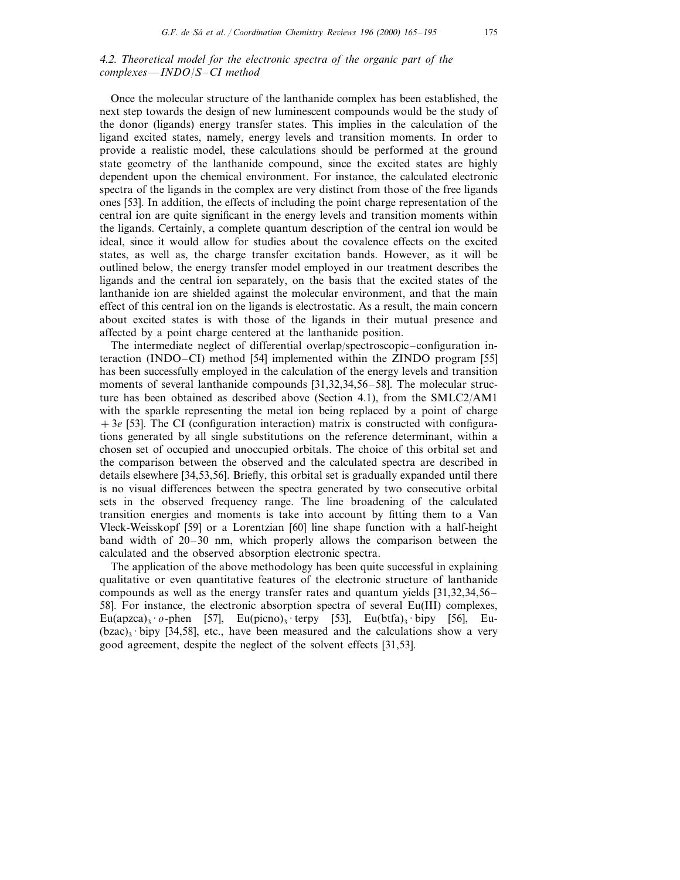## <sup>4</sup>.2. *Theoretical model for the electronic spectra of the organic part of the complexes*—*INDO*/*S*–*CI method*

Once the molecular structure of the lanthanide complex has been established, the next step towards the design of new luminescent compounds would be the study of the donor (ligands) energy transfer states. This implies in the calculation of the ligand excited states, namely, energy levels and transition moments. In order to provide a realistic model, these calculations should be performed at the ground state geometry of the lanthanide compound, since the excited states are highly dependent upon the chemical environment. For instance, the calculated electronic spectra of the ligands in the complex are very distinct from those of the free ligands ones [53]. In addition, the effects of including the point charge representation of the central ion are quite significant in the energy levels and transition moments within the ligands. Certainly, a complete quantum description of the central ion would be ideal, since it would allow for studies about the covalence effects on the excited states, as well as, the charge transfer excitation bands. However, as it will be outlined below, the energy transfer model employed in our treatment describes the ligands and the central ion separately, on the basis that the excited states of the lanthanide ion are shielded against the molecular environment, and that the main effect of this central ion on the ligands is electrostatic. As a result, the main concern about excited states is with those of the ligands in their mutual presence and affected by a point charge centered at the lanthanide position.

The intermediate neglect of differential overlap/spectroscopic–configuration interaction (INDO–CI) method [54] implemented within the ZINDO program [55] has been successfully employed in the calculation of the energy levels and transition moments of several lanthanide compounds [31,32,34,56–58]. The molecular structure has been obtained as described above (Section 4.1), from the SMLC2/AM1 with the sparkle representing the metal ion being replaced by a point of charge +3*e* [53]. The CI (configuration interaction) matrix is constructed with configurations generated by all single substitutions on the reference determinant, within a chosen set of occupied and unoccupied orbitals. The choice of this orbital set and the comparison between the observed and the calculated spectra are described in details elsewhere [34,53,56]. Briefly, this orbital set is gradually expanded until there is no visual differences between the spectra generated by two consecutive orbital sets in the observed frequency range. The line broadening of the calculated transition energies and moments is take into account by fitting them to a Van Vleck-Weisskopf [59] or a Lorentzian [60] line shape function with a half-height band width of 20–30 nm, which properly allows the comparison between the calculated and the observed absorption electronic spectra.

The application of the above methodology has been quite successful in explaining qualitative or even quantitative features of the electronic structure of lanthanide compounds as well as the energy transfer rates and quantum yields [31,32,34,56– 58]. For instance, the electronic absorption spectra of several Eu(III) complexes, Eu(apzca)<sub>3</sub> · *o*-phen [57], Eu(picno)<sub>3</sub> · terpy [53], Eu(btfa)<sub>3</sub> · bipy [56], Eu- $(bzac)$ <sup>3</sup> · bipy [34,58], etc., have been measured and the calculations show a very good agreement, despite the neglect of the solvent effects [31,53].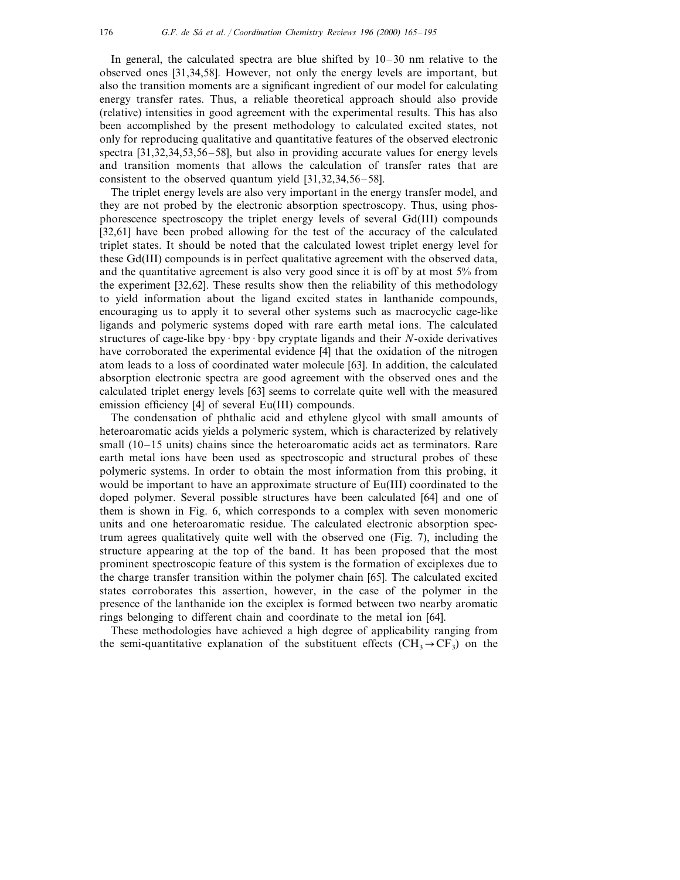In general, the calculated spectra are blue shifted by 10–30 nm relative to the observed ones [31,34,58]. However, not only the energy levels are important, but also the transition moments are a significant ingredient of our model for calculating energy transfer rates. Thus, a reliable theoretical approach should also provide (relative) intensities in good agreement with the experimental results. This has also been accomplished by the present methodology to calculated excited states, not only for reproducing qualitative and quantitative features of the observed electronic spectra [31,32,34,53,56–58], but also in providing accurate values for energy levels and transition moments that allows the calculation of transfer rates that are consistent to the observed quantum yield [31,32,34,56–58].

The triplet energy levels are also very important in the energy transfer model, and they are not probed by the electronic absorption spectroscopy. Thus, using phosphorescence spectroscopy the triplet energy levels of several Gd(III) compounds [32,61] have been probed allowing for the test of the accuracy of the calculated triplet states. It should be noted that the calculated lowest triplet energy level for these Gd(III) compounds is in perfect qualitative agreement with the observed data, and the quantitative agreement is also very good since it is off by at most 5% from the experiment [32,62]. These results show then the reliability of this methodology to yield information about the ligand excited states in lanthanide compounds, encouraging us to apply it to several other systems such as macrocyclic cage-like ligands and polymeric systems doped with rare earth metal ions. The calculated structures of cage-like bpy · bpy · bpy cryptate ligands and their *N*-oxide derivatives have corroborated the experimental evidence [4] that the oxidation of the nitrogen atom leads to a loss of coordinated water molecule [63]. In addition, the calculated absorption electronic spectra are good agreement with the observed ones and the calculated triplet energy levels [63] seems to correlate quite well with the measured emission efficiency [4] of several Eu(III) compounds.

The condensation of phthalic acid and ethylene glycol with small amounts of heteroaromatic acids yields a polymeric system, which is characterized by relatively small (10–15 units) chains since the heteroaromatic acids act as terminators. Rare earth metal ions have been used as spectroscopic and structural probes of these polymeric systems. In order to obtain the most information from this probing, it would be important to have an approximate structure of Eu(III) coordinated to the doped polymer. Several possible structures have been calculated [64] and one of them is shown in Fig. 6, which corresponds to a complex with seven monomeric units and one heteroaromatic residue. The calculated electronic absorption spectrum agrees qualitatively quite well with the observed one (Fig. 7), including the structure appearing at the top of the band. It has been proposed that the most prominent spectroscopic feature of this system is the formation of exciplexes due to the charge transfer transition within the polymer chain [65]. The calculated excited states corroborates this assertion, however, in the case of the polymer in the presence of the lanthanide ion the exciplex is formed between two nearby aromatic rings belonging to different chain and coordinate to the metal ion [64].

These methodologies have achieved a high degree of applicability ranging from the semi-quantitative explanation of the substituent effects  $(CH_3 \rightarrow CF_3)$  on the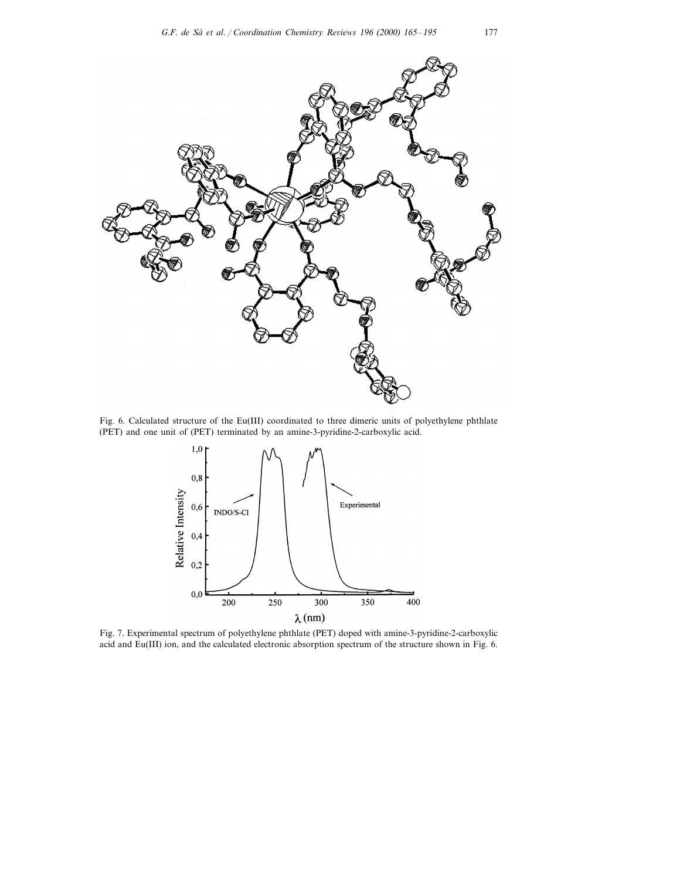

Fig. 6. Calculated structure of the Eu(III) coordinated to three dimeric units of polyethylene phthlate (PET) and one unit of (PET) terminated by an amine-3-pyridine-2-carboxylic acid.



Fig. 7. Experimental spectrum of polyethylene phthlate (PET) doped with amine-3-pyridine-2-carboxylic acid and Eu(III) ion, and the calculated electronic absorption spectrum of the structure shown in Fig. 6.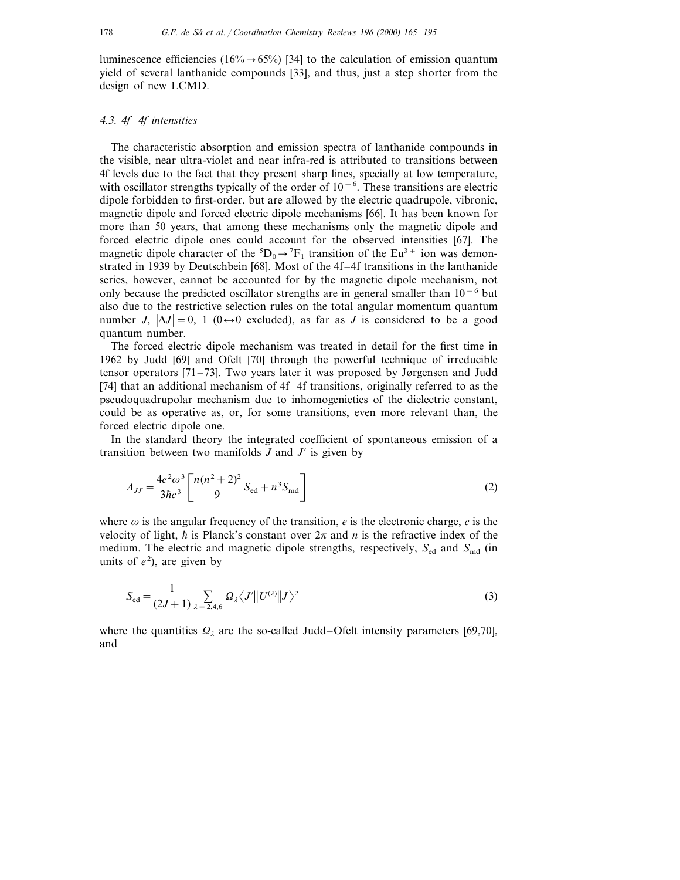luminescence efficiencies (16% $\rightarrow$  65%) [34] to the calculation of emission quantum yield of several lanthanide compounds [33], and thus, just a step shorter from the design of new LCMD.

## <sup>4</sup>.3. <sup>4</sup>*f*–4*f intensities*

The characteristic absorption and emission spectra of lanthanide compounds in the visible, near ultra-violet and near infra-red is attributed to transitions between 4f levels due to the fact that they present sharp lines, specially at low temperature, with oscillator strengths typically of the order of 10<sup>-6</sup>. These transitions are electric dipole forbidden to first-order, but are allowed by the electric quadrupole, vibronic, magnetic dipole and forced electric dipole mechanisms [66]. It has been known for more than 50 years, that among these mechanisms only the magnetic dipole and forced electric dipole ones could account for the observed intensities [67]. The magnetic dipole character of the  ${}^5D_0 \rightarrow {}^7F_1$  transition of the Eu<sup>3+</sup> ion was demonstrated in 1939 by Deutschbein [68]. Most of the 4f–4f transitions in the lanthanide series, however, cannot be accounted for by the magnetic dipole mechanism, not only because the predicted oscillator strengths are in general smaller than  $10^{-6}$  but also due to the restrictive selection rules on the total angular momentum quantum number *J*,  $|\Delta J| = 0$ , 1 (0  $\leftrightarrow$  0 excluded), as far as *J* is considered to be a good quantum number.

The forced electric dipole mechanism was treated in detail for the first time in 1962 by Judd [69] and Ofelt [70] through the powerful technique of irreducible tensor operators [71–73]. Two years later it was proposed by Jørgensen and Judd [74] that an additional mechanism of 4f–4f transitions, originally referred to as the pseudoquadrupolar mechanism due to inhomogenieties of the dielectric constant, could be as operative as, or, for some transitions, even more relevant than, the forced electric dipole one.

In the standard theory the integrated coefficient of spontaneous emission of a transition between two manifolds  $J$  and  $J'$  is given by

$$
A_{JJ'} = \frac{4e^2\omega^3}{3\hbar c^3} \left[ \frac{n(n^2+2)^2}{9} S_{\text{ed}} + n^3 S_{\text{md}} \right]
$$
 (2)

where  $\omega$  is the angular frequency of the transition, *e* is the electronic charge, *c* is the velocity of light,  $\hbar$  is Planck's constant over  $2\pi$  and  $n$  is the refractive index of the medium. The electric and magnetic dipole strengths, respectively,  $S_{\text{ed}}$  and  $S_{\text{md}}$  (in units of  $e^2$ ), are given by

$$
S_{\text{ed}} = \frac{1}{(2J+1)} \sum_{\lambda = 2,4,6} \Omega_{\lambda} \langle J' || U^{(\lambda)} || J \rangle^2
$$
 (3)

where the quantities  $\Omega_{\lambda}$  are the so-called Judd–Ofelt intensity parameters [69,70], and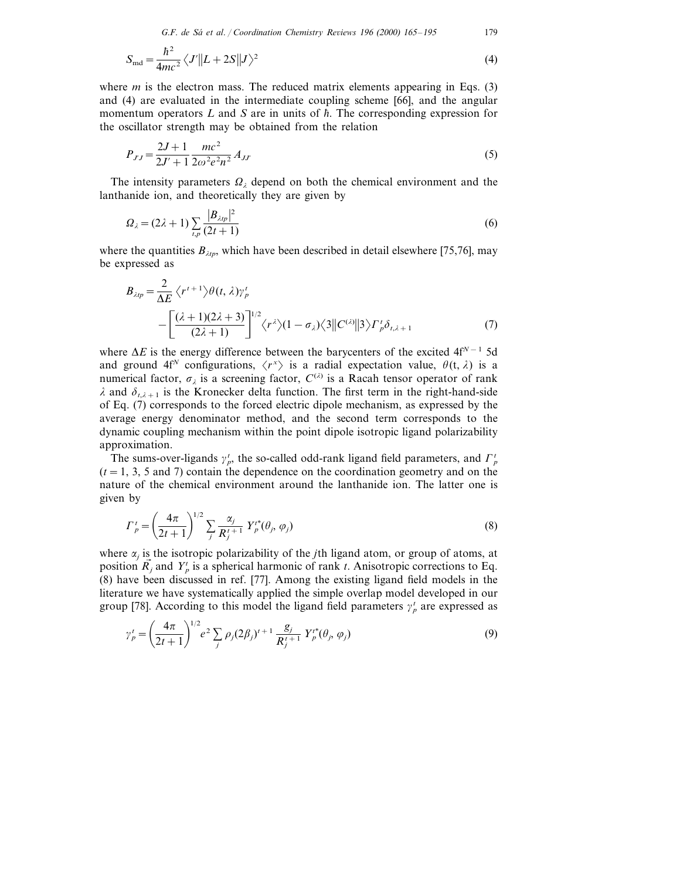*G*.*F*. *de Sa´ et al*. / *Coordination Chemistry Re*6*iews* <sup>196</sup> (2000) 165–195 179

$$
S_{\rm md} = \frac{\hbar^2}{4mc^2} \langle J' || L + 2S || J \rangle^2 \tag{4}
$$

where *m* is the electron mass. The reduced matrix elements appearing in Eqs. (3) and (4) are evaluated in the intermediate coupling scheme [66], and the angular momentum operators  $L$  and  $S$  are in units of  $\hbar$ . The corresponding expression for the oscillator strength may be obtained from the relation

$$
P_{JJ} = \frac{2J+1}{2J'+1} \frac{mc^2}{2\omega^2 e^2 n^2} A_{JJ'} \tag{5}
$$

The intensity parameters  $\Omega_{\lambda}$  depend on both the chemical environment and the lanthanide ion, and theoretically they are given by

$$
\Omega_{\lambda} = (2\lambda + 1) \sum_{l,p} \frac{|B_{\lambda lp}|^2}{(2t+1)}
$$
\n(6)

where the quantities  $B_{\lambda_{th}}$ , which have been described in detail elsewhere [75,76], may be expressed as

$$
B_{\lambda tp} = \frac{2}{\Delta E} \left\langle r^{t+1} \right\rangle \theta(t, \lambda) \gamma_p^t
$$
  
 
$$
- \left[ \frac{(\lambda + 1)(2\lambda + 3)}{(2\lambda + 1)} \right]^{1/2} \left\langle r^{\lambda} \right\rangle (1 - \sigma_{\lambda}) \left\langle 3 \right| |C^{(\lambda)}| |3 \right\rangle \Gamma_p^t \delta_{t, \lambda + 1} \tag{7}
$$

where Δ*E* is the energy difference between the barycenters of the excited 4f<sup>*N*−1</sup> 5d and ground 4f<sup>N</sup> configurations,  $\langle r^x \rangle$  is a radial expectation value,  $\theta(t, \lambda)$  is a numerical factor,  $\sigma_{\lambda}$  is a screening factor,  $C^{(\lambda)}$  is a Racah tensor operator of rank  $\lambda$  and  $\delta_{t,\lambda+1}$  is the Kronecker delta function. The first term in the right-hand-side of Eq. (7) corresponds to the forced electric dipole mechanism, as expressed by the average energy denominator method, and the second term corresponds to the dynamic coupling mechanism within the point dipole isotropic ligand polarizability approximation.

The sums-over-ligands  $\gamma_p^t$ , the so-called odd-rank ligand field parameters, and  $\Gamma_p^t$  $(t = 1, 3, 5, 5)$  and 7) contain the dependence on the coordination geometry and on the nature of the chemical environment around the lanthanide ion. The latter one is given by

$$
\Gamma_p^t = \left(\frac{4\pi}{2t+1}\right)^{1/2} \sum_j \frac{\alpha_j}{R_j^{t+1}} Y_p^{t*}(\theta_j, \varphi_j)
$$
\n(8)

where  $\alpha_i$  is the isotropic polarizability of the *j*th ligand atom, or group of atoms, at position  $\vec{R}_j$  and  $Y_p^t$  is a spherical harmonic of rank *t*. Anisotropic corrections to Eq. (8) have been discussed in ref. [77]. Among the existing ligand field models in the literature we have systematically applied the simple overlap model developed in our group [78]. According to this model the ligand field parameters  $\gamma_p^t$  are expressed as

$$
\gamma_p^t = \left(\frac{4\pi}{2t+1}\right)^{1/2} e^2 \sum_j \rho_j (2\beta_j)^{t+1} \frac{g_j}{R_j^{t+1}} Y_p^{t*}(\theta_j, \varphi_j)
$$
\n(9)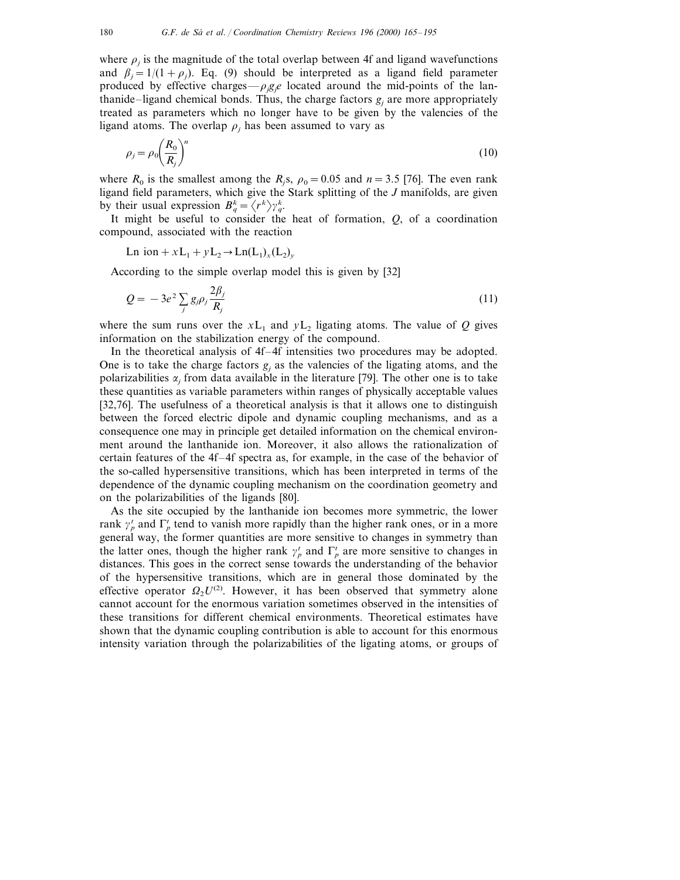where  $\rho_i$  is the magnitude of the total overlap between 4f and ligand wavefunctions and  $\beta_i = 1/(1+\rho_i)$ . Eq. (9) should be interpreted as a ligand field parameter produced by effective charges— $\rho_j g_j e$  located around the mid-points of the lanthanide–ligand chemical bonds. Thus, the charge factors  $g_i$  are more appropriately treated as parameters which no longer have to be given by the valencies of the ligand atoms. The overlap  $\rho_i$  has been assumed to vary as

$$
\rho_j = \rho_0 \left(\frac{R_0}{R_j}\right)^n \tag{10}
$$

where  $R_0$  is the smallest among the  $R_i$ s,  $\rho_0=0.05$  and  $n=3.5$  [76]. The even rank ligand field parameters, which give the Stark splitting of the *J* manifolds, are given by their usual expression  $B_q^k = \langle r^k \rangle \gamma_q^k$ .

It might be useful to consider the heat of formation, *Q*, of a coordination compound, associated with the reaction

Ln ion +  $xL_1 + yL_2 \rightarrow Ln(L_1)_x(L_2)_y$ 

According to the simple overlap model this is given by [32]

$$
Q = -3e^2 \sum_j g_j \rho_j \frac{2\beta_j}{R_j} \tag{11}
$$

where the sum runs over the  $xL_1$  and  $yL_2$  ligating atoms. The value of *Q* gives information on the stabilization energy of the compound.

In the theoretical analysis of 4f–4f intensities two procedures may be adopted. One is to take the charge factors  $g_i$  as the valencies of the ligating atoms, and the polarizabilities  $\alpha_i$  from data available in the literature [79]. The other one is to take these quantities as variable parameters within ranges of physically acceptable values [32,76]. The usefulness of a theoretical analysis is that it allows one to distinguish between the forced electric dipole and dynamic coupling mechanisms, and as a consequence one may in principle get detailed information on the chemical environment around the lanthanide ion. Moreover, it also allows the rationalization of certain features of the 4f–4f spectra as, for example, in the case of the behavior of the so-called hypersensitive transitions, which has been interpreted in terms of the dependence of the dynamic coupling mechanism on the coordination geometry and on the polarizabilities of the ligands [80].

As the site occupied by the lanthanide ion becomes more symmetric, the lower rank  $\gamma_p^t$  and  $\Gamma_p^t$  tend to vanish more rapidly than the higher rank ones, or in a more general way, the former quantities are more sensitive to changes in symmetry than the latter ones, though the higher rank  $\gamma_p^t$  and  $\Gamma_p^t$  are more sensitive to changes in distances. This goes in the correct sense towards the understanding of the behavior of the hypersensitive transitions, which are in general those dominated by the effective operator  $\Omega$ <sub>2</sub>U<sup>(2)</sup>. However, it has been observed that symmetry alone cannot account for the enormous variation sometimes observed in the intensities of these transitions for different chemical environments. Theoretical estimates have shown that the dynamic coupling contribution is able to account for this enormous intensity variation through the polarizabilities of the ligating atoms, or groups of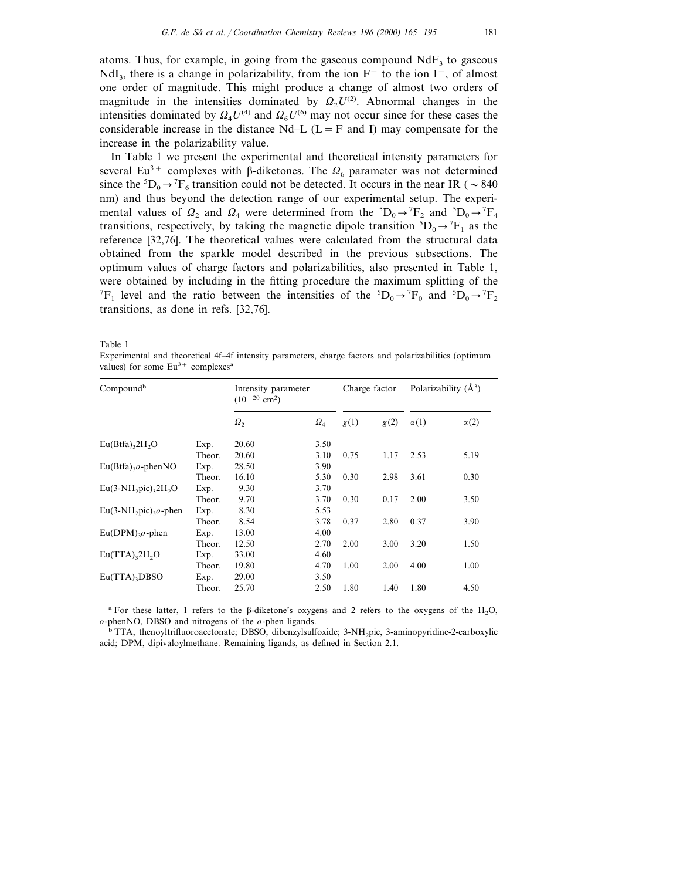atoms. Thus, for example, in going from the gaseous compound  $\text{NdF}_3$  to gaseous NdI<sub>3</sub>, there is a change in polarizability, from the ion  $F^-$  to the ion I<sup>-</sup>, of almost one order of magnitude. This might produce a change of almost two orders of magnitude in the intensities dominated by  $\Omega_2 U^{(2)}$ . Abnormal changes in the intensities dominated by  $\Omega_4 U^{(4)}$  and  $\Omega_6 U^{(6)}$  may not occur since for these cases the considerable increase in the distance Nd–L ( $L = F$  and I) may compensate for the increase in the polarizability value.

In Table 1 we present the experimental and theoretical intensity parameters for several Eu<sup>3+</sup> complexes with  $\beta$ -diketones. The  $\Omega_6$  parameter was not determined since the  ${}^5D_0 \rightarrow {}^7F_6$  transition could not be detected. It occurs in the near IR (  $\sim 840$ nm) and thus beyond the detection range of our experimental setup. The experimental values of  $\Omega_2$  and  $\Omega_4$  were determined from the  ${}^5D_0 \rightarrow {}^7F_2$  and  ${}^5D_0 \rightarrow {}^7F_4$ transitions, respectively, by taking the magnetic dipole transition  ${}^5D_0 \rightarrow {}^7F_1$  as the reference [32,76]. The theoretical values were calculated from the structural data obtained from the sparkle model described in the previous subsections. The optimum values of charge factors and polarizabilities, also presented in Table 1, were obtained by including in the fitting procedure the maximum splitting of the <sup>7</sup>F<sub>1</sub> level and the ratio between the intensities of the <sup>5</sup>D<sub>0</sub> $\rightarrow$ <sup>7</sup>F<sub>0</sub> and <sup>5</sup>D<sub>0</sub> $\rightarrow$ <sup>7</sup>F<sub>2</sub> transitions, as done in refs. [32,76].

Table 1

Experimental and theoretical 4f–4f intensity parameters, charge factors and polarizabilities (optimum values) for some  $Eu^{3+}$  complexes<sup>a</sup>

| Compound <sup>b</sup>                    | Intensity parameter<br>$(10^{-20}$ cm <sup>2</sup> ) |            | Charge factor |      | Polarizability $(A^3)$ |             |             |
|------------------------------------------|------------------------------------------------------|------------|---------------|------|------------------------|-------------|-------------|
|                                          |                                                      | $\Omega$ , | $\Omega_{4}$  | g(1) | g(2)                   | $\alpha(1)$ | $\alpha(2)$ |
| $Eu(Btfa)_{3}2H_{2}O$                    | Exp.                                                 | 20.60      | 3.50          |      |                        |             |             |
|                                          | Theor.                                               | 20.60      | 3.10          | 0.75 | 1.17                   | 2.53        | 5.19        |
| $Eu(Btfa)_{3}o$ -phenNO                  | Exp.                                                 | 28.50      | 3.90          |      |                        |             |             |
|                                          | Theor.                                               | 16.10      | 5.30          | 0.30 | 2.98                   | 3.61        | 0.30        |
| $Eu(3-NH, pic), 2H, O$                   | Exp.                                                 | 9.30       | 3.70          |      |                        |             |             |
|                                          | Theor.                                               | 9.70       | 3.70          | 0.30 | 0.17                   | 2.00        | 3.50        |
| $Eu(3-NH2)3o-phen$                       | Exp.                                                 | 8.30       | 5.53          |      |                        |             |             |
|                                          | Theor.                                               | 8.54       | 3.78          | 0.37 | 2.80                   | 0.37        | 3.90        |
| $Eu(DPM)_{3}$ o-phen                     | Exp.                                                 | 13.00      | 4.00          |      |                        |             |             |
|                                          | Theor.                                               | 12.50      | 2.70          | 2.00 | 3.00                   | 3.20        | 1.50        |
| $Eu(TTA)$ <sub>3</sub> 2H <sub>2</sub> O | Exp.                                                 | 33.00      | 4.60          |      |                        |             |             |
|                                          | Theor.                                               | 19.80      | 4.70          | 1.00 | 2.00                   | 4.00        | 1.00        |
| $Eu(TTA)$ <sub>3</sub> DBSO              | Exp.                                                 | 29.00      | 3.50          |      |                        |             |             |
|                                          | Theor.                                               | 25.70      | 2.50          | 1.80 | 1.40                   | 1.80        | 4.50        |

<sup>a</sup> For these latter, 1 refers to the  $\beta$ -diketone's oxygens and 2 refers to the oxygens of the H<sub>2</sub>O, *o*-phenNO, DBSO and nitrogens of the *o*-phen ligands.

<sup>b</sup> TTA, thenoyltrifluoroacetonate; DBSO, dibenzylsulfoxide; 3-NH<sub>2</sub>pic, 3-aminopyridine-2-carboxylic acid; DPM, dipivaloylmethane. Remaining ligands, as defined in Section 2.1.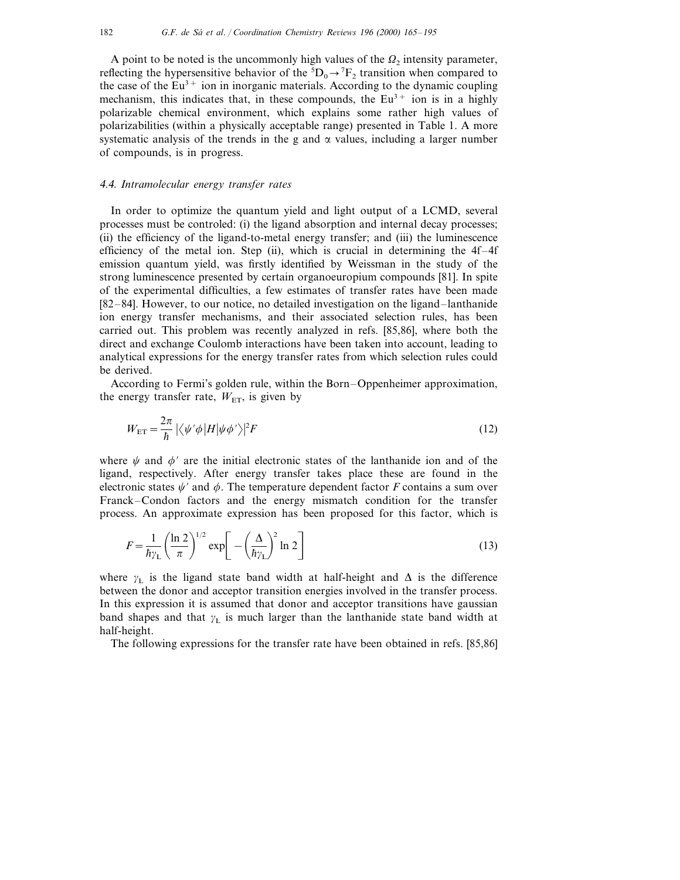A point to be noted is the uncommonly high values of the  $\Omega_2$  intensity parameter, reflecting the hypersensitive behavior of the  ${}^5D_0 \rightarrow {}^7F_2$  transition when compared to the case of the  $Eu^{3+}$  ion in inorganic materials. According to the dynamic coupling mechanism, this indicates that, in these compounds, the  $Eu<sup>3+</sup>$  ion is in a highly polarizable chemical environment, which explains some rather high values of polarizabilities (within a physically acceptable range) presented in Table 1. A more systematic analysis of the trends in the g and  $\alpha$  values, including a larger number of compounds, is in progress.

# <sup>4</sup>.4. *Intramolecular energy transfer rates*

In order to optimize the quantum yield and light output of a LCMD, several processes must be controled: (i) the ligand absorption and internal decay processes; (ii) the efficiency of the ligand-to-metal energy transfer; and (iii) the luminescence efficiency of the metal ion. Step (ii), which is crucial in determining the  $4f-4f$ emission quantum yield, was firstly identified by Weissman in the study of the strong luminescence presented by certain organoeuropium compounds [81]. In spite of the experimental difficulties, a few estimates of transfer rates have been made [82–84]. However, to our notice, no detailed investigation on the ligand–lanthanide ion energy transfer mechanisms, and their associated selection rules, has been carried out. This problem was recently analyzed in refs. [85,86], where both the direct and exchange Coulomb interactions have been taken into account, leading to analytical expressions for the energy transfer rates from which selection rules could be derived.

According to Fermi's golden rule, within the Born–Oppenheimer approximation, the energy transfer rate,  $W_{ET}$ , is given by

$$
W_{\text{ET}} = \frac{2\pi}{\hbar} \left| \langle \psi' \phi | H | \psi \phi' \rangle \right|^2 F \tag{12}
$$

where  $\psi$  and  $\phi'$  are the initial electronic states of the lanthanide ion and of the ligand, respectively. After energy transfer takes place these are found in the electronic states  $\psi'$  and  $\phi$ . The temperature dependent factor *F* contains a sum over Franck–Condon factors and the energy mismatch condition for the transfer process. An approximate expression has been proposed for this factor, which is

$$
F = \frac{1}{\hbar \gamma_{\rm L}} \left( \frac{\ln 2}{\pi} \right)^{1/2} \exp \left[ - \left( \frac{\Delta}{\hbar \gamma_{\rm L}} \right)^2 \ln 2 \right] \tag{13}
$$

where  $y_L$  is the ligand state band width at half-height and  $\Delta$  is the difference between the donor and acceptor transition energies involved in the transfer process. In this expression it is assumed that donor and acceptor transitions have gaussian band shapes and that  $\gamma_L$  is much larger than the lanthanide state band width at half-height.

The following expressions for the transfer rate have been obtained in refs. [85,86]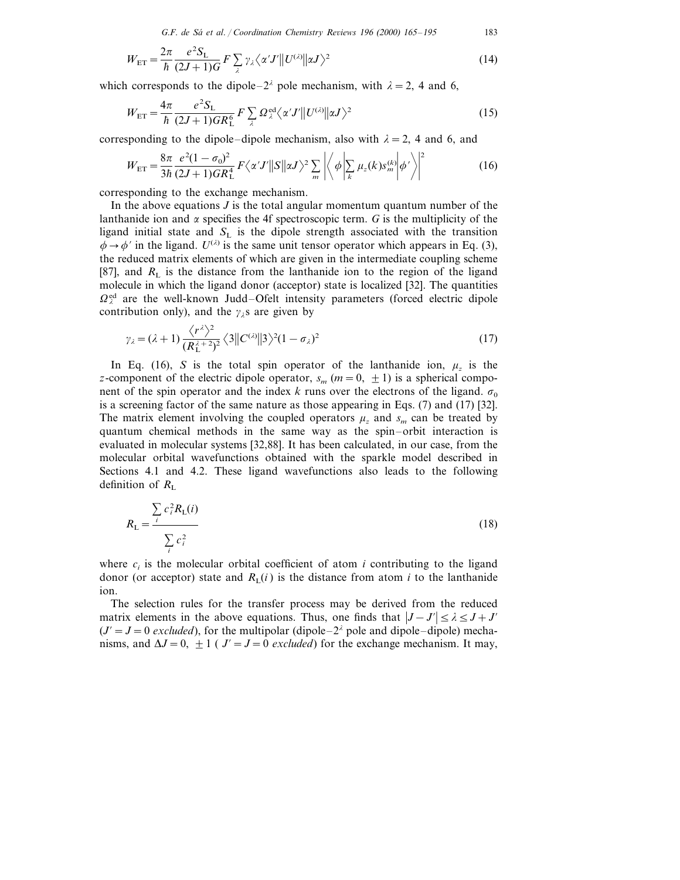*G*.*F*. *de Sa´ et al*. / *Coordination Chemistry Re*6*iews* <sup>196</sup> (2000) 165–195 183

$$
W_{\text{ET}} = \frac{2\pi}{\hbar} \frac{e^2 S_{\text{L}}}{(2J+1)G} F \sum_{\lambda} \gamma_{\lambda} \langle \alpha' J' || U^{(\lambda)} || \alpha J \rangle^2
$$
 (14)

which corresponds to the dipole– $2^{\lambda}$  pole mechanism, with  $\lambda = 2$ , 4 and 6,

$$
W_{\text{ET}} = \frac{4\pi}{\hbar} \frac{e^2 S_{\text{L}}}{(2J+1)GR_{\text{L}}^6} F \sum_{\lambda} \Omega_{\lambda}^{\text{ed}} \langle \alpha' J' || U^{(\lambda)} || \alpha J \rangle^2 \tag{15}
$$

corresponding to the dipole–dipole mechanism, also with  $\lambda = 2$ , 4 and 6, and

$$
W_{\rm ET} = \frac{8\pi}{3\hbar} \frac{e^2(1-\sigma_0)^2}{(2J+1)GR_{\rm L}^4} F\langle \alpha'J' ||S||\alpha J \rangle^2 \sum_m \left| \left\langle \phi \left| \sum_k \mu_z(k) s_m^{(k)} \right| \phi' \right\rangle \right|^2 \tag{16}
$$

corresponding to the exchange mechanism.

In the above equations *J* is the total angular momentum quantum number of the lanthanide ion and  $\alpha$  specifies the 4f spectroscopic term. *G* is the multiplicity of the ligand initial state and  $S_L$  is the dipole strength associated with the transition  $\phi \rightarrow \phi'$  in the ligand.  $U^{(\lambda)}$  is the same unit tensor operator which appears in Eq. (3), the reduced matrix elements of which are given in the intermediate coupling scheme [87], and  $R<sub>L</sub>$  is the distance from the lanthanide ion to the region of the ligand molecule in which the ligand donor (acceptor) state is localized [32]. The quantities  $\Omega^{\text{ed}}_{\lambda}$  are the well-known Judd–Ofelt intensity parameters (forced electric dipole contribution only), and the  $\gamma$ , s are given by

$$
\gamma_{\lambda} = (\lambda + 1) \frac{\langle r^{\lambda} \rangle^2}{(R_L^{\lambda + 2})^2} \langle 3 || C^{(\lambda)} || 3 \rangle^2 (1 - \sigma_{\lambda})^2
$$
\n(17)

In Eq. (16), *S* is the total spin operator of the lanthanide ion,  $\mu_z$  is the *z*-component of the electric dipole operator,  $s_m$  ( $m=0, \pm 1$ ) is a spherical component of the spin operator and the index k runs over the electrons of the ligand.  $\sigma_0$ is a screening factor of the same nature as those appearing in Eqs. (7) and (17) [32]. The matrix element involving the coupled operators  $\mu_z$  and  $s_m$  can be treated by quantum chemical methods in the same way as the spin–orbit interaction is evaluated in molecular systems [32,88]. It has been calculated, in our case, from the molecular orbital wavefunctions obtained with the sparkle model described in Sections 4.1 and 4.2. These ligand wavefunctions also leads to the following definition of  $R_{\rm L}$ 

$$
R_{\rm L} = \frac{\sum_{i} c_i^2 R_{\rm L}(i)}{\sum_{i} c_i^2}
$$
 (18)

where  $c_i$  is the molecular orbital coefficient of atom *i* contributing to the ligand donor (or acceptor) state and  $R_1(i)$  is the distance from atom *i* to the lanthanide ion.

The selection rules for the transfer process may be derived from the reduced matrix elements in the above equations. Thus, one finds that  $|J-J'| \leq \lambda \leq J+J'$  $(J' = J = 0$  *excluded*), for the multipolar (dipole–2<sup>2</sup> pole and dipole–dipole) mechanisms, and  $\Delta J = 0$ ,  $\pm 1$  (  $J' = J = 0$  *excluded*) for the exchange mechanism. It may,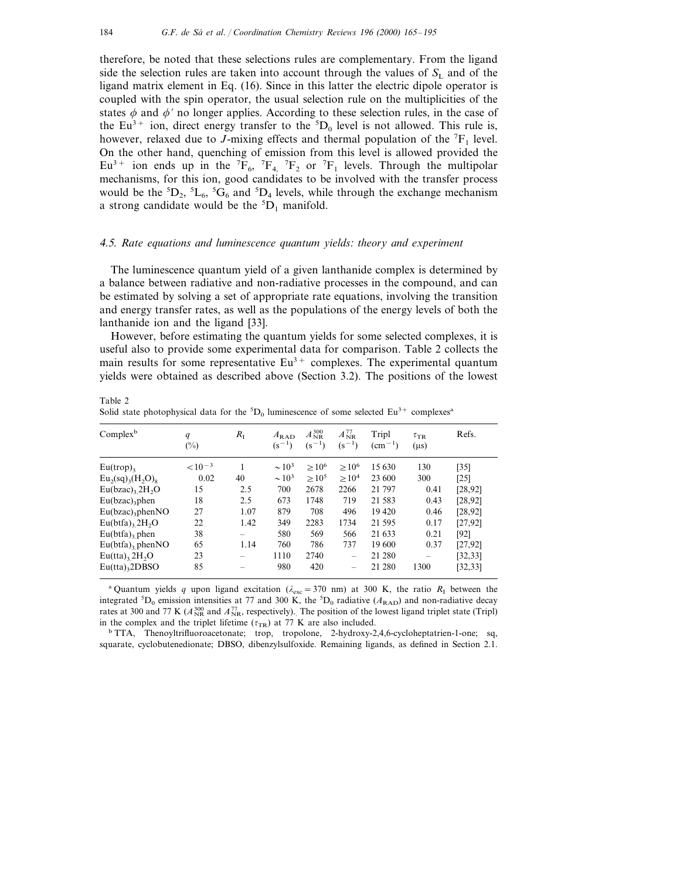therefore, be noted that these selections rules are complementary. From the ligand side the selection rules are taken into account through the values of  $S<sub>1</sub>$  and of the ligand matrix element in Eq. (16). Since in this latter the electric dipole operator is coupled with the spin operator, the usual selection rule on the multiplicities of the states  $\phi$  and  $\phi'$  no longer applies. According to these selection rules, in the case of the Eu<sup>3+</sup> ion, direct energy transfer to the  ${}^5D_0$  level is not allowed. This rule is, however, relaxed due to *J*-mixing effects and thermal population of the  ${}^{7}F_1$  level. On the other hand, quenching of emission from this level is allowed provided the  $Eu<sup>3+</sup>$  ion ends up in the  ${}^{7}F_{6}$ ,  ${}^{7}F_{4}$ ,  ${}^{7}F_{2}$  or  ${}^{7}F_{1}$  levels. Through the multipolar mechanisms, for this ion, good candidates to be involved with the transfer process would be the  ${}^5D_2$ ,  ${}^5L_6$ ,  ${}^5G_6$  and  ${}^5D_4$  levels, while through the exchange mechanism a strong candidate would be the  ${}^{5}D_1$  manifold.

## <sup>4</sup>.5. *Rate equations and luminescence quantum yields*: *theory and experiment*

The luminescence quantum yield of a given lanthanide complex is determined by a balance between radiative and non-radiative processes in the compound, and can be estimated by solving a set of appropriate rate equations, involving the transition and energy transfer rates, as well as the populations of the energy levels of both the lanthanide ion and the ligand [33].

However, before estimating the quantum yields for some selected complexes, it is useful also to provide some experimental data for comparison. Table 2 collects the main results for some representative  $Eu<sup>3+</sup>$  complexes. The experimental quantum yields were obtained as described above (Section 3.2). The positions of the lowest

| Complex <sup>b</sup>           | q<br>$(\%)$ | $R_{I}$ | $A_{\rm RAD}$<br>$(s^{-1})$ | $A_{\rm NR}^{\rm 300}$<br>$(s^{-1})$ | $A_{\rm NR}^{77}$<br>$(s^{-1})$ | Tripl<br>$\rm (cm^{-1})$ | $\tau_{\rm TR}$<br>$(\mu s)$ | Refs.    |
|--------------------------------|-------------|---------|-----------------------------|--------------------------------------|---------------------------------|--------------------------|------------------------------|----------|
| $Eu(trop)_{3}$                 | $< 10^{-3}$ |         | $\sim$ 10 <sup>3</sup>      | $>10^6$                              | $>10^6$                         | 15 630                   | 130                          | $[35]$   |
| $Eu_2(sq)_3(H_2O)_8$           | 0.02        | 40      | $\sim$ 10 <sup>3</sup>      | $>10^{5}$                            | $>10^4$                         | 23 600                   | 300                          | [25]     |
| $Eu(bzac)$ , $2H2O$            | 15          | 2.5     | 700                         | 2678                                 | 2266                            | 21 797                   | 0.41                         | [28, 92] |
| $Eu(bzac)$ <sub>3</sub> phen   | 18          | 2.5     | 673                         | 1748                                 | 719                             | 21 583                   | 0.43                         | [28, 92] |
| $Eu(bzac)$ <sub>3</sub> phenNO | 27          | 1.07    | 879                         | 708                                  | 496                             | 19 4 20                  | 0.46                         | [28, 92] |
| $Eu(bta)$ , $2H2O$             | 22          | 1.42    | 349                         | 2283                                 | 1734                            | 21 595                   | 0.17                         | [27, 92] |
| $Eu(bta)$ , phen               | 38          | -       | 580                         | 569                                  | 566                             | 21 633                   | 0.21                         | [92]     |
| $Eu(bta)$ , phenNO             | 65          | 1.14    | 760                         | 786                                  | 737                             | 19 600                   | 0.37                         | [27, 92] |
| $Eu(tta)$ , $2H2O$             | 23          | -       | 1110                        | 2740                                 | $\overline{\phantom{a}}$        | 21 280                   | $\overline{\phantom{a}}$     | [32, 33] |
| $Eu(tta)$ <sub>3</sub> 2DBSO   | 85          |         | 980                         | 420                                  | -                               | 21 280                   | 1300                         | [32, 33] |

Solid state photophysical data for the  ${}^5D_0$  luminescence of some selected Eu<sup>3+</sup> complexes<sup>a</sup>

<sup>a</sup> Quantum yields *q* upon ligand excitation ( $\lambda_{\text{exc}} = 370 \text{ nm}$ ) at 300 K, the ratio  $R_1$  between the integrated  ${}^{5}D_0$  emission intensities at 77 and 300 K, the  ${}^{5}D_0$  radiative ( $A_{\text{RAD}}$ ) and non-radiative decay rates at 300 and 77 K ( $A_{NR}^{300}$  and  $A_{NR}^{77}$ , respectively). The position of the lowest ligand triplet state (Tripl) in the complex and the triplet lifetime ( $\tau_{TR}$ ) at 77 K are also included.<br>b TTA, Thenoyltrifluoroacetonate; trop, tropolone, 2-hydroxy-2,4,6-cycloheptatrien-1-one; sq,

squarate, cyclobutenedionate; DBSO, dibenzylsulfoxide. Remaining ligands, as defined in Section 2.1.

Table 2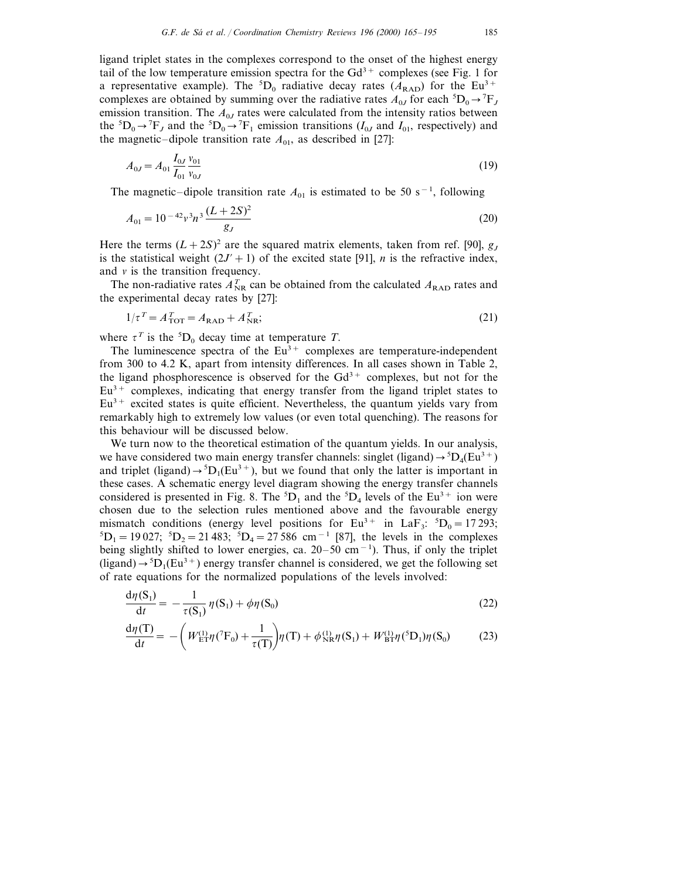ligand triplet states in the complexes correspond to the onset of the highest energy tail of the low temperature emission spectra for the  $Gd^{3+}$  complexes (see Fig. 1 for a representative example). The <sup>5</sup>D<sub>0</sub> radiative decay rates  $(A_{\text{RAD}})$  for the Eu<sup>3+</sup> complexes are obtained by summing over the radiative rates  $A_{0J}$  for each  ${}^5D_0 \rightarrow {}^7F_J$ emission transition. The  $A_{0I}$  rates were calculated from the intensity ratios between the  ${}^5D_0 \rightarrow {}^7F_J$  and the  ${}^5D_0 \rightarrow {}^7F_1$  emission transitions (*I<sub>0J</sub>* and *I<sub>01</sub>*, respectively) and the magnetic–dipole transition rate  $A_{01}$ , as described in [27]:

$$
A_{0J} = A_{01} \frac{I_{0J}}{I_{01}} \frac{v_{01}}{v_{0J}} \tag{19}
$$

The magnetic–dipole transition rate  $A_{01}$  is estimated to be 50 s<sup>-1</sup>, following

$$
A_{01} = 10^{-42} \nu^3 n^3 \frac{(L + 2S)^2}{g_J} \tag{20}
$$

Here the terms  $(L+2S)^2$  are the squared matrix elements, taken from ref. [90],  $g<sub>J</sub>$ is the statistical weight  $(2J' + 1)$  of the excited state [91], *n* is the refractive index, and  $v$  is the transition frequency.

The non-radiative rates  $A_{\text{NR}}^T$  can be obtained from the calculated  $A_{\text{RAD}}$  rates and the experimental decay rates by [27]:

$$
1/\tau^T = A_{\text{TOT}}^T = A_{\text{RAD}} + A_{\text{NR}}^T;
$$
\n(21)

where  $\tau^T$  is the <sup>5</sup>D<sub>0</sub> decay time at temperature *T*.

The luminescence spectra of the  $Eu^{3+}$  complexes are temperature-independent from 300 to 4.2 K, apart from intensity differences. In all cases shown in Table 2, the ligand phosphorescence is observed for the  $Gd^{3+}$  complexes, but not for the  $Eu<sup>3+</sup>$  complexes, indicating that energy transfer from the ligand triplet states to  $Eu<sup>3+</sup>$  excited states is quite efficient. Nevertheless, the quantum yields vary from remarkably high to extremely low values (or even total quenching). The reasons for this behaviour will be discussed below.

We turn now to the theoretical estimation of the quantum yields. In our analysis, we have considered two main energy transfer channels: singlet (ligand)  $\rightarrow$   $^5D_4(Eu^3+)$ and triplet (ligand)  $\rightarrow$  <sup>5</sup>D<sub>1</sub>(Eu<sup>3+</sup>), but we found that only the latter is important in these cases. A schematic energy level diagram showing the energy transfer channels considered is presented in Fig. 8. The  ${}^5D_1$  and the  ${}^5D_4$  levels of the Eu<sup>3+</sup> ion were chosen due to the selection rules mentioned above and the favourable energy mismatch conditions (energy level positions for  $Eu^{3+}$  in  $LaF_3$ :  ${}^5D_0 = 17\,293$ ;<br> ${}^5D_0 = 19.027$ :  ${}^5D_0 = 21.483$ :  ${}^5D_0 = 27.586$  cm<sup>-1</sup> [87], the levels in the complexes  $D_1 = 19027$ ;  ${}^5D_2 = 21483$ ;  ${}^5D_4 = 27586$  cm<sup>-1</sup> [87], the levels in the complexes being slightly shifted to lower energies, ca. 20–50 cm<sup>−</sup><sup>1</sup> ). Thus, if only the triplet (ligand)  $\rightarrow$  <sup>5</sup>D<sub>1</sub>(Eu<sup>3+</sup>) energy transfer channel is considered, we get the following set of rate equations for the normalized populations of the levels involved:

$$
\frac{\mathrm{d}\eta(\mathrm{S}_1)}{\mathrm{d}t} = -\frac{1}{\tau(\mathrm{S}_1)}\eta(\mathrm{S}_1) + \phi\eta(\mathrm{S}_0) \tag{22}
$$

$$
\frac{d\eta(T)}{dt} = -\left(W_{ET}^{(1)}\eta(^{T}F_{0}) + \frac{1}{\tau(T)}\right)\eta(T) + \phi_{NR}^{(1)}\eta(S_{1}) + W_{BT}^{(1)}\eta(^{5}D_{1})\eta(S_{0})
$$
(23)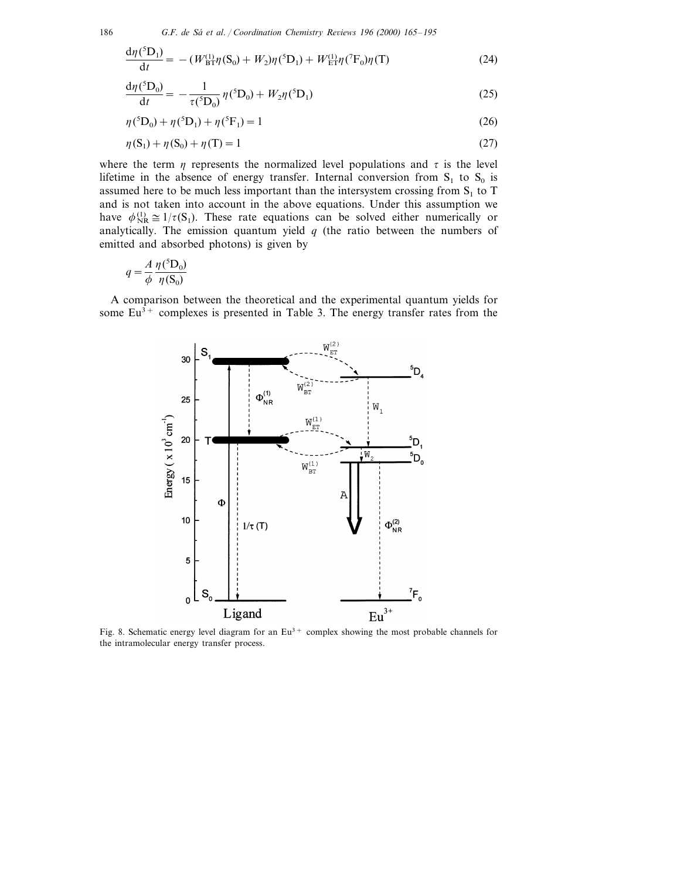$$
\frac{d\eta({}^{5}D_{1})}{dt} = -(W_{\rm BT}^{(1)}\eta(S_{0}) + W_{2})\eta({}^{5}D_{1}) + W_{\rm ET}^{(1)}\eta({}^{7}F_{0})\eta(T)
$$
\n(24)

$$
\frac{d\eta({}^{5}D_{0})}{dt} = -\frac{1}{\tau({}^{5}D_{0})}\eta({}^{5}D_{0}) + W_{2}\eta({}^{5}D_{1})
$$
\n(25)

$$
\eta^{\text{(5)}}\mathbf{D}_0 + \eta^{\text{(5)}}\mathbf{D}_1 + \eta^{\text{(5)}}\mathbf{F}_1 = 1\tag{26}
$$

$$
\eta(S_1) + \eta(S_0) + \eta(T) = 1\tag{27}
$$

where the term  $\eta$  represents the normalized level populations and  $\tau$  is the level lifetime in the absence of energy transfer. Internal conversion from  $S_1$  to  $S_0$  is assumed here to be much less important than the intersystem crossing from  $S_1$  to T and is not taken into account in the above equations. Under this assumption we have  $\phi_{NR}^{(1)} \cong 1/\tau(S_1)$ . These rate equations can be solved either numerically or analytically. The emission quantum yield  $q$  (the ratio between the numbers of emitted and absorbed photons) is given by

$$
q = \frac{A}{\phi} \frac{\eta(^5\text{D}_0)}{\eta(\text{S}_0)}
$$

A comparison between the theoretical and the experimental quantum yields for some  $Eu^{3+}$  complexes is presented in Table 3. The energy transfer rates from the



Fig. 8. Schematic energy level diagram for an  $Eu<sup>3+</sup>$  complex showing the most probable channels for the intramolecular energy transfer process.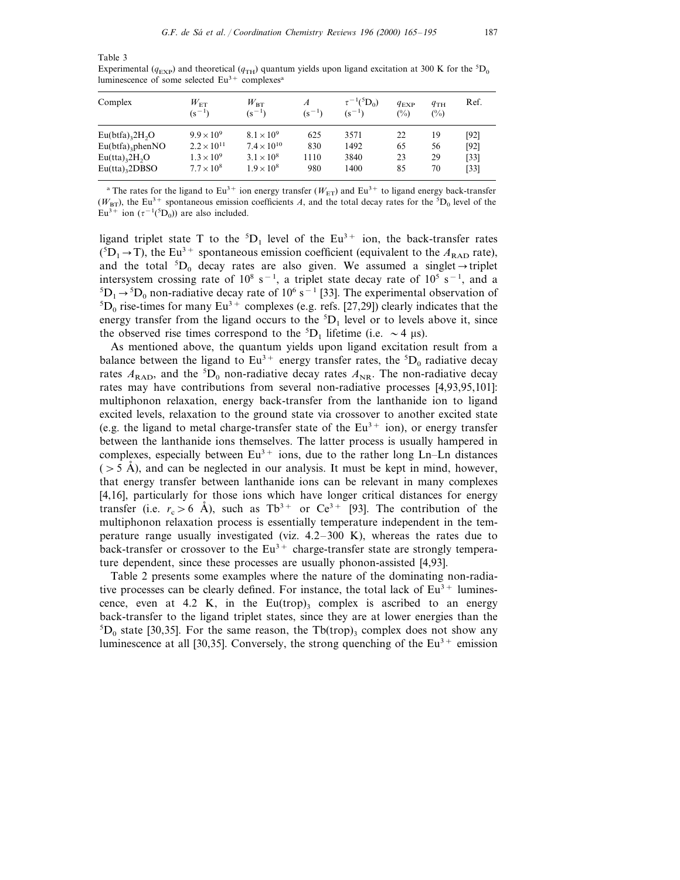Table 3

Experimental ( $q_{\text{EXP}}$ ) and theoretical ( $q_{\text{TH}}$ ) quantum yields upon ligand excitation at 300 K for the  ${}^{5}D_{0}$ luminescence of some selected Eu<sup>3+</sup> complexes<sup>a</sup>

| Complex                                  | $W_{\rm ET}$<br>$(s^{-1})$ | $W_{\rm BT}$<br>$(s^{-1})$ | $\overline{A}$<br>$(s^{-1})$ | $\tau^{-1}({}^5D_0)$<br>$(s^{-1})$ | $q_{EXP}$<br>$(\%)$ | $q_{TH}$<br>$(\%)$ | Ref.   |
|------------------------------------------|----------------------------|----------------------------|------------------------------|------------------------------------|---------------------|--------------------|--------|
| $Eu(btfa)_{3}2H_{2}O$                    | $9.9 \times 10^{9}$        | $8.1 \times 10^{9}$        | 625                          | 3571                               | 22                  | 19                 | [92]   |
| $Eu(bta)$ <sub>3</sub> phenNO            | $2.2 \times 10^{11}$       | $7.4 \times 10^{10}$       | 830                          | 1492                               | 65                  | 56                 | [92]   |
| $Eu(tta)$ <sub>3</sub> 2H <sub>2</sub> O | $1.3 \times 10^{9}$        | $3.1 \times 10^8$          | 1110                         | 3840                               | 23                  | 29                 | $[33]$ |
| $Eu(tta)$ <sub>3</sub> 2DBSO             | $7.7 \times 10^8$          | $1.9 \times 10^{8}$        | 980                          | 1400                               | 85                  | 70                 | $[33]$ |

<sup>a</sup> The rates for the ligand to Eu<sup>3+</sup> ion energy transfer ( $W_{ET}$ ) and Eu<sup>3+</sup> to ligand energy back-transfer  $(W_{\text{BT}})$ , the Eu<sup>3+</sup> spontaneous emission coefficients *A*, and the total decay rates for the <sup>5</sup>D<sub>0</sub> level of the Eu<sup>3+</sup> ion ( $\tau^{-1}$ (<sup>5</sup>D<sub>0</sub>)) are also included.

ligand triplet state T to the  ${}^5D_1$  level of the Eu<sup>3+</sup> ion, the back-transfer rates  $({}^{5}D_1 \rightarrow T)$ , the Eu<sup>3+</sup> spontaneous emission coefficient (equivalent to the  $A_{RAD}$  rate), and the total  ${}^5D_0$  decay rates are also given. We assumed a singlet  $\rightarrow$  triplet intersystem crossing rate of  $10^8$  s<sup>-1</sup>, a triplet state decay rate of  $10^5$  s<sup>-1</sup>, and a  ${}^{5}D_1 \rightarrow {}^{5}D_0$  non-radiative decay rate of 10<sup>6</sup> s<sup>-1</sup> [33]. The experimental observation of  ${}^{5}D_1$  rise-times for many  $Eu^{3+}$  complexes (e.g. refs. [27.29]) clearly indicates that the  ${}^5D_0$  rise-times for many Eu<sup>3+</sup> complexes (e.g. refs. [27,29]) clearly indicates that the energy transfer from the ligand occurs to the  ${}^{5}D_1$  level or to levels above it, since the observed rise times correspond to the  ${}^5D_1$  lifetime (i.e.  $\sim$  4  $\mu$ s).

As mentioned above, the quantum yields upon ligand excitation result from a balance between the ligand to  $Eu^{3+}$  energy transfer rates, the  ${}^{5}D_{0}$  radiative decay rates  $A_{\text{RAD}}$ , and the <sup>5</sup>D<sub>0</sub> non-radiative decay rates  $A_{\text{NR}}$ . The non-radiative decay rates may have contributions from several non-radiative processes [4,93,95,101]: multiphonon relaxation, energy back-transfer from the lanthanide ion to ligand excited levels, relaxation to the ground state via crossover to another excited state (e.g. the ligand to metal charge-transfer state of the  $Eu^{3+}$  ion), or energy transfer between the lanthanide ions themselves. The latter process is usually hampered in complexes, especially between  $Eu^{3+}$  ions, due to the rather long Ln–Ln distances  $(55 \text{ Å})$ , and can be neglected in our analysis. It must be kept in mind, however, that energy transfer between lanthanide ions can be relevant in many complexes [4,16], particularly for those ions which have longer critical distances for energy transfer (i.e.  $r_c > 6$  Å), such as Tb<sup>3+</sup> or Ce<sup>3+</sup> [93]. The contribution of the multiphonon relaxation process is essentially temperature independent in the temperature range usually investigated (viz.  $4.2-300$  K), whereas the rates due to back-transfer or crossover to the  $Eu^{3+}$  charge-transfer state are strongly temperature dependent, since these processes are usually phonon-assisted [4,93].

Table 2 presents some examples where the nature of the dominating non-radiative processes can be clearly defined. For instance, the total lack of  $Eu^{3+}$  luminescence, even at 4.2 K, in the Eu(trop)<sub>3</sub> complex is ascribed to an energy back-transfer to the ligand triplet states, since they are at lower energies than the  ${}^5D_0$  state [30,35]. For the same reason, the Tb(trop)<sub>3</sub> complex does not show any luminescence at all [30,35]. Conversely, the strong quenching of the  $Eu^{3+}$  emission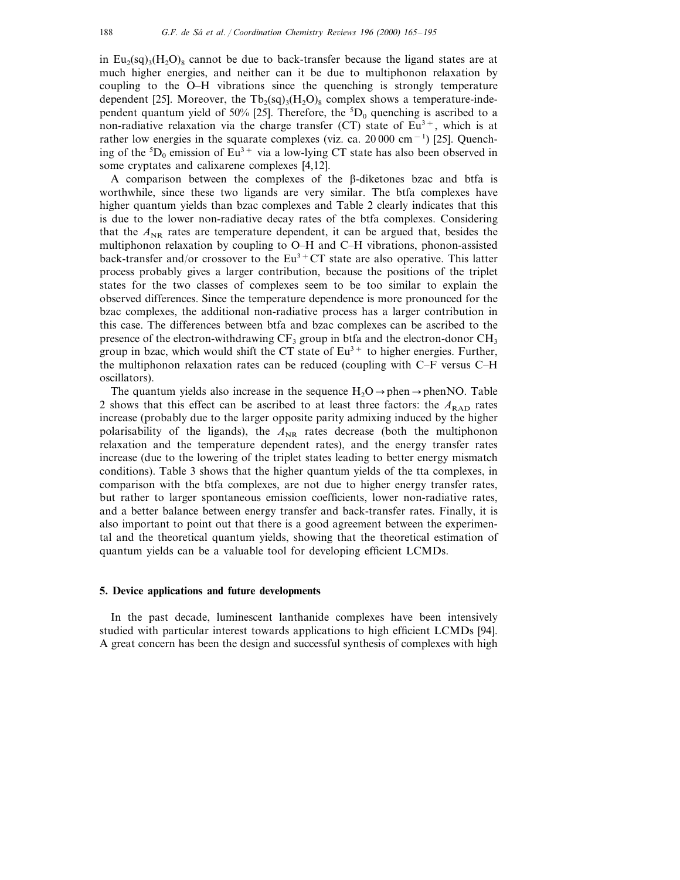in Eu<sub>2</sub>(sq)<sub>3</sub>(H<sub>2</sub>O)<sub>8</sub> cannot be due to back-transfer because the ligand states are at much higher energies, and neither can it be due to multiphonon relaxation by coupling to the O-H vibrations since the quenching is strongly temperature dependent [25]. Moreover, the Tb<sub>2</sub>(sq)<sub>3</sub>(H<sub>2</sub>O)<sub>8</sub> complex shows a temperature-independent quantum yield of 50% [25]. Therefore, the  ${}^5D_0$  quenching is ascribed to a non-radiative relaxation via the charge transfer (CT) state of  $Eu^{3+}$ , which is at rather low energies in the squarate complexes (viz. ca. 20 000 cm<sup>-1</sup>) [25]. Quenching of the  ${}^{5}D_0$  emission of Eu<sup>3+</sup> via a low-lying CT state has also been observed in some cryptates and calixarene complexes [4,12].

A comparison between the complexes of the  $\beta$ -diketones bzac and btfa is worthwhile, since these two ligands are very similar. The btfa complexes have higher quantum yields than bzac complexes and Table 2 clearly indicates that this is due to the lower non-radiative decay rates of the btfa complexes. Considering that the  $A_{NR}$  rates are temperature dependent, it can be argued that, besides the multiphonon relaxation by coupling to  $O-H$  and  $C-H$  vibrations, phonon-assisted back-transfer and/or crossover to the  $Eu^{3+}CT$  state are also operative. This latter process probably gives a larger contribution, because the positions of the triplet states for the two classes of complexes seem to be too similar to explain the observed differences. Since the temperature dependence is more pronounced for the bzac complexes, the additional non-radiative process has a larger contribution in this case. The differences between btfa and bzac complexes can be ascribed to the presence of the electron-withdrawing  $CF_3$  group in btfa and the electron-donor  $CH_3$ group in bzac, which would shift the CT state of  $Eu<sup>3+</sup>$  to higher energies. Further, the multiphonon relaxation rates can be reduced (coupling with  $C-F$  versus  $C-H$ oscillators).

The quantum yields also increase in the sequence  $H_2O \rightarrow$  phen $\rightarrow$  phenNO. Table 2 shows that this effect can be ascribed to at least three factors: the  $A_{\text{RAD}}$  rates increase (probably due to the larger opposite parity admixing induced by the higher polarisability of the ligands), the  $A_{NR}$  rates decrease (both the multiphonon relaxation and the temperature dependent rates), and the energy transfer rates increase (due to the lowering of the triplet states leading to better energy mismatch conditions). Table 3 shows that the higher quantum yields of the tta complexes, in comparison with the btfa complexes, are not due to higher energy transfer rates, but rather to larger spontaneous emission coefficients, lower non-radiative rates, and a better balance between energy transfer and back-transfer rates. Finally, it is also important to point out that there is a good agreement between the experimental and the theoretical quantum yields, showing that the theoretical estimation of quantum yields can be a valuable tool for developing efficient LCMDs.

#### **5. Device applications and future developments**

In the past decade, luminescent lanthanide complexes have been intensively studied with particular interest towards applications to high efficient LCMDs [94]. A great concern has been the design and successful synthesis of complexes with high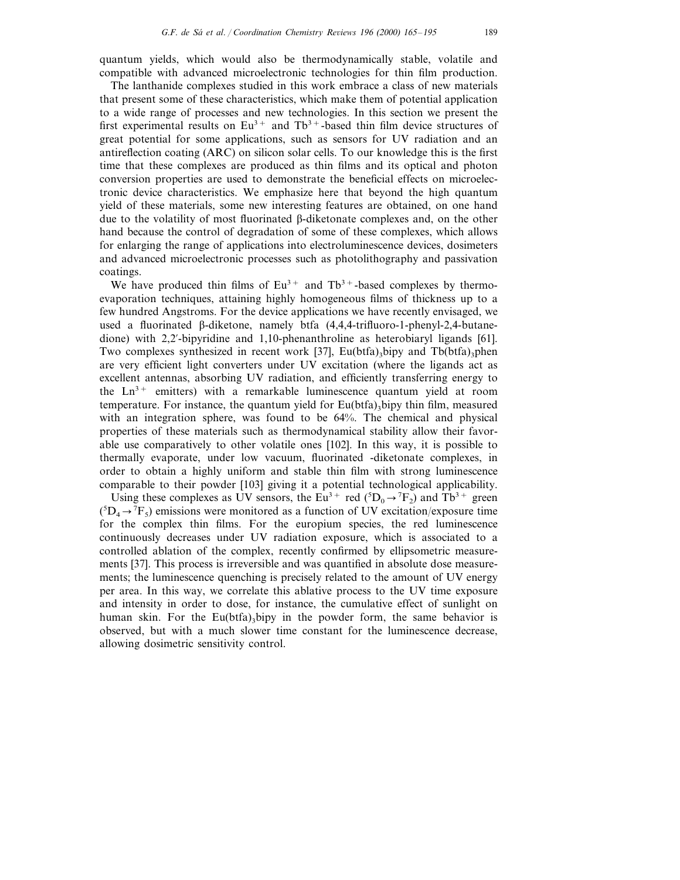quantum yields, which would also be thermodynamically stable, volatile and compatible with advanced microelectronic technologies for thin film production.

The lanthanide complexes studied in this work embrace a class of new materials that present some of these characteristics, which make them of potential application to a wide range of processes and new technologies. In this section we present the first experimental results on  $Eu^{3+}$  and Tb<sup>3+</sup>-based thin film device structures of great potential for some applications, such as sensors for UV radiation and an antireflection coating (ARC) on silicon solar cells. To our knowledge this is the first time that these complexes are produced as thin films and its optical and photon conversion properties are used to demonstrate the beneficial effects on microelectronic device characteristics. We emphasize here that beyond the high quantum yield of these materials, some new interesting features are obtained, on one hand due to the volatility of most fluorinated b-diketonate complexes and, on the other hand because the control of degradation of some of these complexes, which allows for enlarging the range of applications into electroluminescence devices, dosimeters and advanced microelectronic processes such as photolithography and passivation coatings.

We have produced thin films of  $Eu^{3+}$  and  $Tb^{3+}$ -based complexes by thermoevaporation techniques, attaining highly homogeneous films of thickness up to a few hundred Angstroms. For the device applications we have recently envisaged, we used a fluorinated  $\beta$ -diketone, namely btfa  $(4,4,4$ -trifluoro-1-phenyl-2,4-butanedione) with  $2,2'$ -bipyridine and 1,10-phenanthroline as heterobiaryl ligands [61]. Two complexes synthesized in recent work [37], Eu(btfa)<sub>3</sub>bipy and Tb(btfa)<sub>3</sub>phen are very efficient light converters under UV excitation (where the ligands act as excellent antennas, absorbing UV radiation, and efficiently transferring energy to the  $Ln^{3+}$  emitters) with a remarkable luminescence quantum yield at room temperature. For instance, the quantum yield for  $Eu(bta)$ , bipy thin film, measured with an integration sphere, was found to be 64%. The chemical and physical properties of these materials such as thermodynamical stability allow their favorable use comparatively to other volatile ones [102]. In this way, it is possible to thermally evaporate, under low vacuum, fluorinated -diketonate complexes, in order to obtain a highly uniform and stable thin film with strong luminescence comparable to their powder [103] giving it a potential technological applicability.

Using these complexes as UV sensors, the Eu<sup>3+</sup> red ( ${}^{5}D_{0} \rightarrow {}^{7}F_{2}$ ) and Tb<sup>3+</sup> green  $({}^{5}D_4 \rightarrow {}^{7}F_5)$  emissions were monitored as a function of UV excitation/exposure time for the complex thin films. For the europium species, the red luminescence continuously decreases under UV radiation exposure, which is associated to a controlled ablation of the complex, recently confirmed by ellipsometric measurements [37]. This process is irreversible and was quantified in absolute dose measurements; the luminescence quenching is precisely related to the amount of UV energy per area. In this way, we correlate this ablative process to the UV time exposure and intensity in order to dose, for instance, the cumulative effect of sunlight on human skin. For the Eu(btfa)<sub>3</sub>bipy in the powder form, the same behavior is observed, but with a much slower time constant for the luminescence decrease, allowing dosimetric sensitivity control.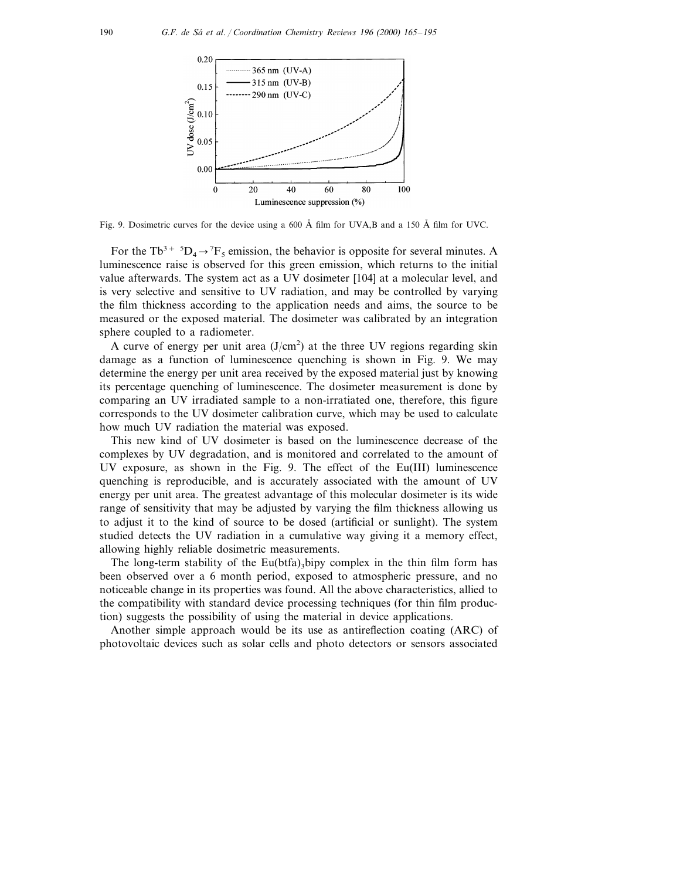

Fig. 9. Dosimetric curves for the device using a 600 Å film for UVA,B and a 150 Å film for UVC.

For the Tb<sup>3+ 5</sup>D<sub>4</sub>  $\rightarrow$ <sup>7</sup>F<sub>5</sub> emission, the behavior is opposite for several minutes. A luminescence raise is observed for this green emission, which returns to the initial value afterwards. The system act as a UV dosimeter [104] at a molecular level, and is very selective and sensitive to UV radiation, and may be controlled by varying the film thickness according to the application needs and aims, the source to be measured or the exposed material. The dosimeter was calibrated by an integration sphere coupled to a radiometer.

A curve of energy per unit area  $(J/cm<sup>2</sup>)$  at the three UV regions regarding skin damage as a function of luminescence quenching is shown in Fig. 9. We may determine the energy per unit area received by the exposed material just by knowing its percentage quenching of luminescence. The dosimeter measurement is done by comparing an UV irradiated sample to a non-irratiated one, therefore, this figure corresponds to the UV dosimeter calibration curve, which may be used to calculate how much UV radiation the material was exposed.

This new kind of UV dosimeter is based on the luminescence decrease of the complexes by UV degradation, and is monitored and correlated to the amount of UV exposure, as shown in the Fig. 9. The effect of the Eu(III) luminescence quenching is reproducible, and is accurately associated with the amount of UV energy per unit area. The greatest advantage of this molecular dosimeter is its wide range of sensitivity that may be adjusted by varying the film thickness allowing us to adjust it to the kind of source to be dosed (artificial or sunlight). The system studied detects the UV radiation in a cumulative way giving it a memory effect, allowing highly reliable dosimetric measurements.

The long-term stability of the Eu(btfa)<sub>3</sub>bipy complex in the thin film form has been observed over a 6 month period, exposed to atmospheric pressure, and no noticeable change in its properties was found. All the above characteristics, allied to the compatibility with standard device processing techniques (for thin film production) suggests the possibility of using the material in device applications.

Another simple approach would be its use as antireflection coating (ARC) of photovoltaic devices such as solar cells and photo detectors or sensors associated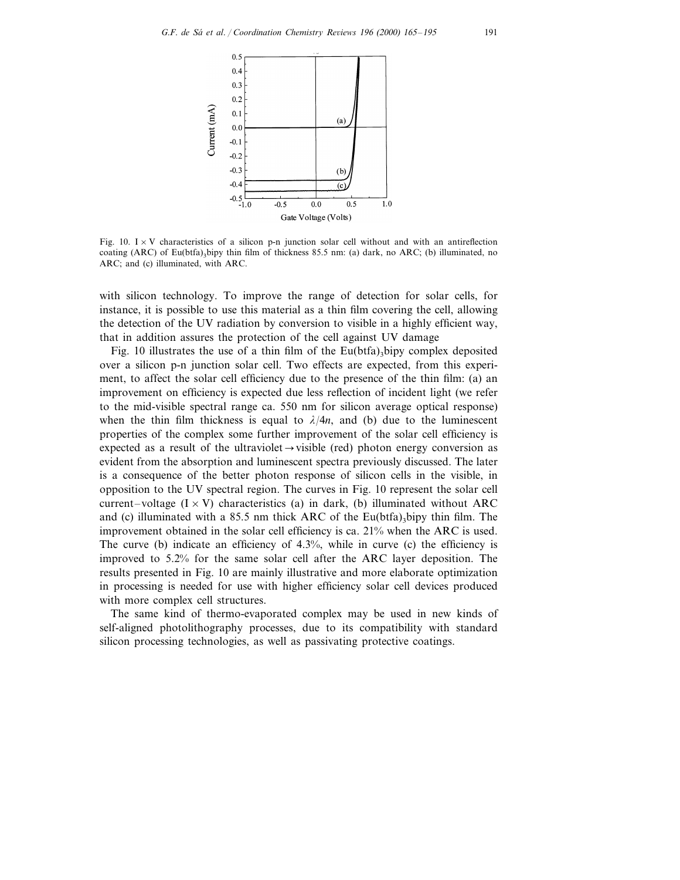

Fig. 10. I  $\times$  V characteristics of a silicon p-n junction solar cell without and with an antireflection coating (ARC) of Eu(btfa)<sub>3</sub>bipy thin film of thickness 85.5 nm: (a) dark, no ARC; (b) illuminated, no ARC; and (c) illuminated, with ARC.

with silicon technology. To improve the range of detection for solar cells, for instance, it is possible to use this material as a thin film covering the cell, allowing the detection of the UV radiation by conversion to visible in a highly efficient way, that in addition assures the protection of the cell against UV damage

Fig. 10 illustrates the use of a thin film of the Eu(btfa)<sub>3</sub>bipy complex deposited over a silicon p-n junction solar cell. Two effects are expected, from this experiment, to affect the solar cell efficiency due to the presence of the thin film: (a) an improvement on efficiency is expected due less reflection of incident light (we refer to the mid-visible spectral range ca. 550 nm for silicon average optical response) when the thin film thickness is equal to  $\lambda/4n$ , and (b) due to the luminescent properties of the complex some further improvement of the solar cell efficiency is expected as a result of the ultraviolet  $\rightarrow$  visible (red) photon energy conversion as evident from the absorption and luminescent spectra previously discussed. The later is a consequence of the better photon response of silicon cells in the visible, in opposition to the UV spectral region. The curves in Fig. 10 represent the solar cell current–voltage  $(I \times V)$  characteristics (a) in dark, (b) illuminated without ARC and (c) illuminated with a 85.5 nm thick ARC of the Eu(btfa)<sub>3</sub>bipy thin film. The improvement obtained in the solar cell efficiency is ca. 21% when the ARC is used. The curve (b) indicate an efficiency of 4.3%, while in curve (c) the efficiency is improved to 5.2% for the same solar cell after the ARC layer deposition. The results presented in Fig. 10 are mainly illustrative and more elaborate optimization in processing is needed for use with higher efficiency solar cell devices produced with more complex cell structures.

The same kind of thermo-evaporated complex may be used in new kinds of self-aligned photolithography processes, due to its compatibility with standard silicon processing technologies, as well as passivating protective coatings.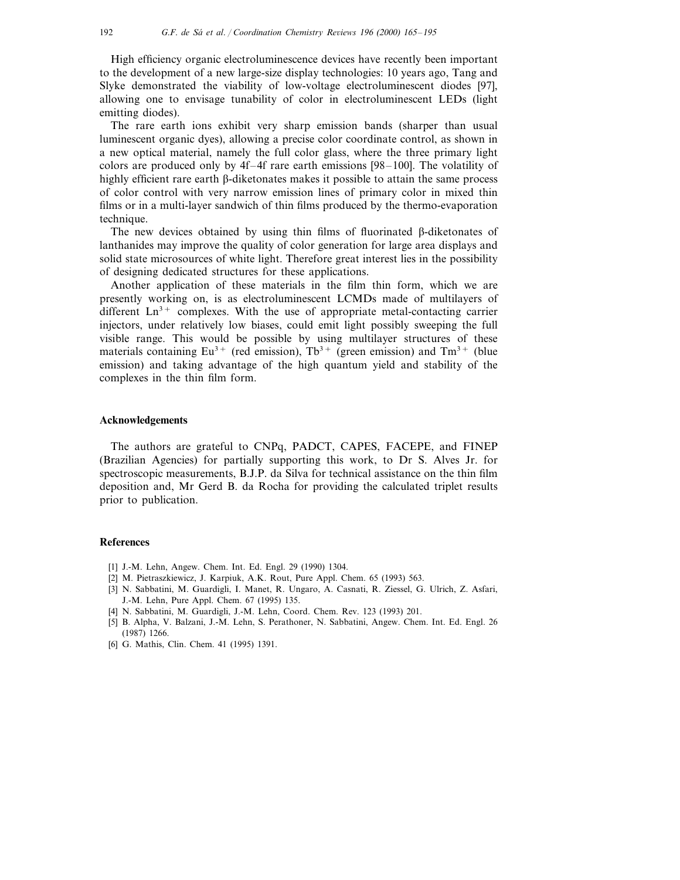High efficiency organic electroluminescence devices have recently been important to the development of a new large-size display technologies: 10 years ago, Tang and Slyke demonstrated the viability of low-voltage electroluminescent diodes [97], allowing one to envisage tunability of color in electroluminescent LEDs (light emitting diodes).

The rare earth ions exhibit very sharp emission bands (sharper than usual luminescent organic dyes), allowing a precise color coordinate control, as shown in a new optical material, namely the full color glass, where the three primary light colors are produced only by  $4f-4f$  rare earth emissions [98–100]. The volatility of highly efficient rare earth  $\beta$ -diketonates makes it possible to attain the same process of color control with very narrow emission lines of primary color in mixed thin films or in a multi-layer sandwich of thin films produced by the thermo-evaporation technique.

The new devices obtained by using thin films of fluorinated  $\beta$ -diketonates of lanthanides may improve the quality of color generation for large area displays and solid state microsources of white light. Therefore great interest lies in the possibility of designing dedicated structures for these applications.

Another application of these materials in the film thin form, which we are presently working on, is as electroluminescent LCMDs made of multilayers of different  $Ln^{3+}$  complexes. With the use of appropriate metal-contacting carrier injectors, under relatively low biases, could emit light possibly sweeping the full visible range. This would be possible by using multilayer structures of these materials containing  $Eu^{3+}$  (red emission), Tb<sup>3+</sup> (green emission) and Tm<sup>3+</sup> (blue emission) and taking advantage of the high quantum yield and stability of the complexes in the thin film form.

## **Acknowledgements**

The authors are grateful to CNPq, PADCT, CAPES, FACEPE, and FINEP (Brazilian Agencies) for partially supporting this work, to Dr S. Alves Jr. for spectroscopic measurements, B.J.P. da Silva for technical assistance on the thin film deposition and, Mr Gerd B. da Rocha for providing the calculated triplet results prior to publication.

## **References**

- [1] J.-M. Lehn, Angew. Chem. Int. Ed. Engl. 29 (1990) 1304.
- [2] M. Pietraszkiewicz, J. Karpiuk, A.K. Rout, Pure Appl. Chem. 65 (1993) 563.
- [3] N. Sabbatini, M. Guardigli, I. Manet, R. Ungaro, A. Casnati, R. Ziessel, G. Ulrich, Z. Asfari, J.-M. Lehn, Pure Appl. Chem. 67 (1995) 135.
- [4] N. Sabbatini, M. Guardigli, J.-M. Lehn, Coord. Chem. Rev. 123 (1993) 201.
- [5] B. Alpha, V. Balzani, J.-M. Lehn, S. Perathoner, N. Sabbatini, Angew. Chem. Int. Ed. Engl. 26 (1987) 1266.
- [6] G. Mathis, Clin. Chem. 41 (1995) 1391.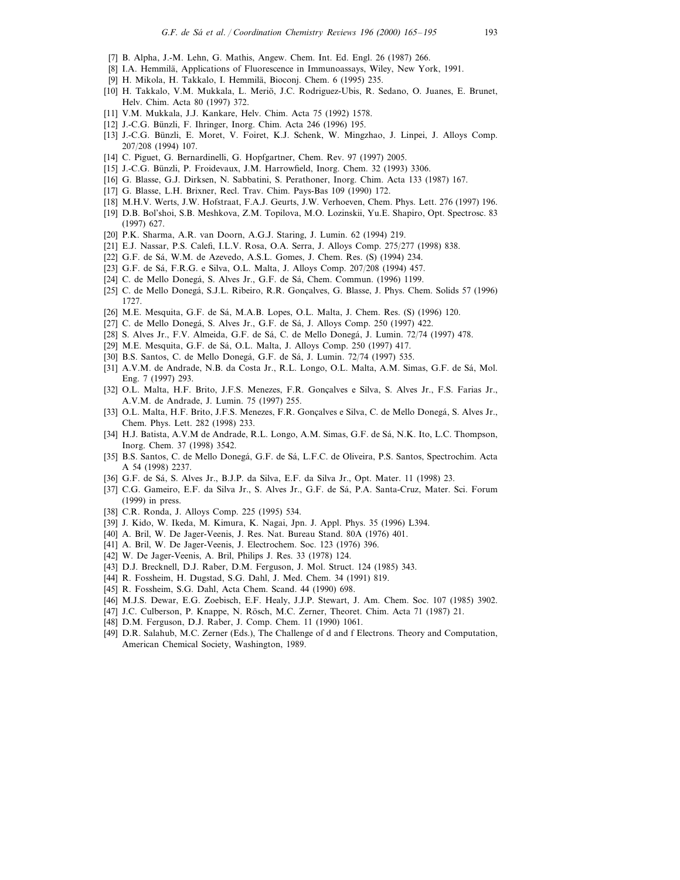- [7] B. Alpha, J.-M. Lehn, G. Mathis, Angew. Chem. Int. Ed. Engl. 26 (1987) 266.
- [8] I.A. Hemmilä, Applications of Fluorescence in Immunoassays, Wiley, New York, 1991.
- [9] H. Mikola, H. Takkalo, I. Hemmilä, Bioconj. Chem. 6 (1995) 235.
- [10] H. Takkalo, V.M. Mukkala, L. Meriö, J.C. Rodriguez-Ubis, R. Sedano, O. Juanes, E. Brunet, Helv. Chim. Acta 80 (1997) 372.
- [11] V.M. Mukkala, J.J. Kankare, Helv. Chim. Acta 75 (1992) 1578.
- [12] J.-C.G. Bünzli, F. Ihringer, Inorg. Chim. Acta 246 (1996) 195.
- [13] J.-C.G. Bünzli, E. Moret, V. Foiret, K.J. Schenk, W. Mingzhao, J. Linpei, J. Alloys Comp. 207/208 (1994) 107.
- [14] C. Piguet, G. Bernardinelli, G. Hopfgartner, Chem. Rev. 97 (1997) 2005.
- [15] J.-C.G. Bünzli, P. Froidevaux, J.M. Harrowfield, Inorg. Chem. 32 (1993) 3306.
- [16] G. Blasse, G.J. Dirksen, N. Sabbatini, S. Perathoner, Inorg. Chim. Acta 133 (1987) 167.
- [17] G. Blasse, L.H. Brixner, Recl. Trav. Chim. Pays-Bas 109 (1990) 172.
- [18] M.H.V. Werts, J.W. Hofstraat, F.A.J. Geurts, J.W. Verhoeven, Chem. Phys. Lett. 276 (1997) 196.
- [19] D.B. Bol'shoi, S.B. Meshkova, Z.M. Topilova, M.O. Lozinskii, Yu.E. Shapiro, Opt. Spectrosc. 83 (1997) 627.
- [20] P.K. Sharma, A.R. van Doorn, A.G.J. Staring, J. Lumin. 62 (1994) 219.
- [21] E.J. Nassar, P.S. Calefi, I.L.V. Rosa, O.A. Serra, J. Alloys Comp. 275/277 (1998) 838.
- [22] G.F. de Sá, W.M. de Azevedo, A.S.L. Gomes, J. Chem. Res. (S) (1994) 234.
- [23] G.F. de Sá, F.R.G. e Silva, O.L. Malta, J. Alloys Comp. 207/208 (1994) 457.
- [24] C. de Mello Donegá, S. Alves Jr., G.F. de Sá, Chem. Commun. (1996) 1199.
- [25] C. de Mello Donegá, S.J.L. Ribeiro, R.R. Gonçalves, G. Blasse, J. Phys. Chem. Solids 57 (1996) 1727.
- [26] M.E. Mesquita, G.F. de Sá, M.A.B. Lopes, O.L. Malta, J. Chem. Res. (S) (1996) 120.
- [27] C. de Mello Donegá, S. Alves Jr., G.F. de Sá, J. Alloys Comp. 250 (1997) 422.
- [28] S. Alves Jr., F.V. Almeida, G.F. de Sá, C. de Mello Donegá, J. Lumin. 72/74 (1997) 478.
- [29] M.E. Mesquita, G.F. de Sá, O.L. Malta, J. Alloys Comp. 250 (1997) 417.
- [30] B.S. Santos, C. de Mello Donegá, G.F. de Sá, J. Lumin. 72/74 (1997) 535.
- [31] A.V.M. de Andrade, N.B. da Costa Jr., R.L. Longo, O.L. Malta, A.M. Simas, G.F. de Sá, Mol. Eng. 7 (1997) 293.
- [32] O.L. Malta, H.F. Brito, J.F.S. Menezes, F.R. Gonçalves e Silva, S. Alves Jr., F.S. Farias Jr., A.V.M. de Andrade, J. Lumin. 75 (1997) 255.
- [33] O.L. Malta, H.F. Brito, J.F.S. Menezes, F.R. Gonçalves e Silva, C. de Mello Donegá, S. Alves Jr., Chem. Phys. Lett. 282 (1998) 233.
- [34] H.J. Batista, A.V.M de Andrade, R.L. Longo, A.M. Simas, G.F. de Sá, N.K. Ito, L.C. Thompson, Inorg. Chem. 37 (1998) 3542.
- [35] B.S. Santos, C. de Mello Donegá, G.F. de Sá, L.F.C. de Oliveira, P.S. Santos, Spectrochim. Acta A 54 (1998) 2237.
- [36] G.F. de Sá, S. Alves Jr., B.J.P. da Silva, E.F. da Silva Jr., Opt. Mater. 11 (1998) 23.
- [37] C.G. Gameiro, E.F. da Silva Jr., S. Alves Jr., G.F. de Sá, P.A. Santa-Cruz, Mater. Sci. Forum (1999) in press.
- [38] C.R. Ronda, J. Alloys Comp. 225 (1995) 534.
- [39] J. Kido, W. Ikeda, M. Kimura, K. Nagai, Jpn. J. Appl. Phys. 35 (1996) L394.
- [40] A. Bril, W. De Jager-Veenis, J. Res. Nat. Bureau Stand. 80A (1976) 401.
- [41] A. Bril, W. De Jager-Veenis, J. Electrochem. Soc. 123 (1976) 396.
- [42] W. De Jager-Veenis, A. Bril, Philips J. Res. 33 (1978) 124.
- [43] D.J. Brecknell, D.J. Raber, D.M. Ferguson, J. Mol. Struct. 124 (1985) 343.
- [44] R. Fossheim, H. Dugstad, S.G. Dahl, J. Med. Chem. 34 (1991) 819.
- [45] R. Fossheim, S.G. Dahl, Acta Chem. Scand. 44 (1990) 698.
- [46] M.J.S. Dewar, E.G. Zoebisch, E.F. Healy, J.J.P. Stewart, J. Am. Chem. Soc. 107 (1985) 3902.
- [47] J.C. Culberson, P. Knappe, N. Rösch, M.C. Zerner, Theoret. Chim. Acta 71 (1987) 21.
- [48] D.M. Ferguson, D.J. Raber, J. Comp. Chem. 11 (1990) 1061.
- [49] D.R. Salahub, M.C. Zerner (Eds.), The Challenge of d and f Electrons. Theory and Computation, American Chemical Society, Washington, 1989.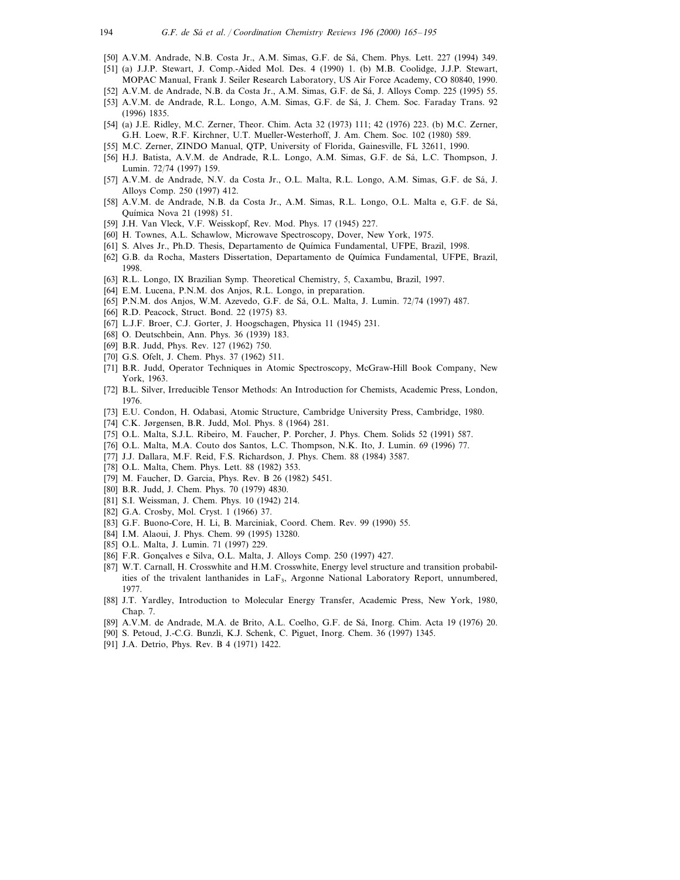- [50] A.V.M. Andrade, N.B. Costa Jr., A.M. Simas, G.F. de Sá, Chem. Phys. Lett. 227 (1994) 349.
- [51] (a) J.J.P. Stewart, J. Comp.-Aided Mol. Des. 4 (1990) 1. (b) M.B. Coolidge, J.J.P. Stewart, MOPAC Manual, Frank J. Seiler Research Laboratory, US Air Force Academy, CO 80840, 1990.
- [52] A.V.M. de Andrade, N.B. da Costa Jr., A.M. Simas, G.F. de Sá, J. Alloys Comp. 225 (1995) 55.
- [53] A.V.M. de Andrade, R.L. Longo, A.M. Simas, G.F. de Sá, J. Chem. Soc. Faraday Trans. 92 (1996) 1835.
- [54] (a) J.E. Ridley, M.C. Zerner, Theor. Chim. Acta 32 (1973) 111; 42 (1976) 223. (b) M.C. Zerner, G.H. Loew, R.F. Kirchner, U.T. Mueller-Westerhoff, J. Am. Chem. Soc. 102 (1980) 589.
- [55] M.C. Zerner, ZINDO Manual, QTP, University of Florida, Gainesville, FL 32611, 1990.
- [56] H.J. Batista, A.V.M. de Andrade, R.L. Longo, A.M. Simas, G.F. de Sá, L.C. Thompson, J. Lumin. 72/74 (1997) 159.
- [57] A.V.M. de Andrade, N.V. da Costa Jr., O.L. Malta, R.L. Longo, A.M. Simas, G.F. de Sá, J. Alloys Comp. 250 (1997) 412.
- [58] A.V.M. de Andrade, N.B. da Costa Jr., A.M. Simas, R.L. Longo, O.L. Malta e, G.F. de Sa´, Química Nova 21 (1998) 51.
- [59] J.H. Van Vleck, V.F. Weisskopf, Rev. Mod. Phys. 17 (1945) 227.
- [60] H. Townes, A.L. Schawlow, Microwave Spectroscopy, Dover, New York, 1975.
- [61] S. Alves Jr., Ph.D. Thesis, Departamento de Quı´mica Fundamental, UFPE, Brazil, 1998.
- [62] G.B. da Rocha, Masters Dissertation, Departamento de Química Fundamental, UFPE, Brazil, 1998.
- [63] R.L. Longo, IX Brazilian Symp. Theoretical Chemistry, 5, Caxambu, Brazil, 1997.
- [64] E.M. Lucena, P.N.M. dos Anjos, R.L. Longo, in preparation.
- [65] P.N.M. dos Anjos, W.M. Azevedo, G.F. de Sá, O.L. Malta, J. Lumin. 72/74 (1997) 487.
- [66] R.D. Peacock, Struct. Bond. 22 (1975) 83.
- [67] L.J.F. Broer, C.J. Gorter, J. Hoogschagen, Physica 11 (1945) 231.
- [68] O. Deutschbein, Ann. Phys. 36 (1939) 183.
- [69] B.R. Judd, Phys. Rev. 127 (1962) 750.
- [70] G.S. Ofelt, J. Chem. Phys. 37 (1962) 511.
- [71] B.R. Judd, Operator Techniques in Atomic Spectroscopy, McGraw-Hill Book Company, New York, 1963.
- [72] B.L. Silver, Irreducible Tensor Methods: An Introduction for Chemists, Academic Press, London, 1976.
- [73] E.U. Condon, H. Odabasi, Atomic Structure, Cambridge University Press, Cambridge, 1980.
- [74] C.K. Jørgensen, B.R. Judd, Mol. Phys. 8 (1964) 281.
- [75] O.L. Malta, S.J.L. Ribeiro, M. Faucher, P. Porcher, J. Phys. Chem. Solids 52 (1991) 587.
- [76] O.L. Malta, M.A. Couto dos Santos, L.C. Thompson, N.K. Ito, J. Lumin. 69 (1996) 77.
- [77] J.J. Dallara, M.F. Reid, F.S. Richardson, J. Phys. Chem. 88 (1984) 3587.
- [78] O.L. Malta, Chem. Phys. Lett. 88 (1982) 353.
- [79] M. Faucher, D. Garcia, Phys. Rev. B 26 (1982) 5451.
- [80] B.R. Judd, J. Chem. Phys. 70 (1979) 4830.
- [81] S.I. Weissman, J. Chem. Phys. 10 (1942) 214.
- [82] G.A. Crosby, Mol. Cryst. 1 (1966) 37.
- [83] G.F. Buono-Core, H. Li, B. Marciniak, Coord. Chem. Rev. 99 (1990) 55.
- [84] I.M. Alaoui, J. Phys. Chem. 99 (1995) 13280.
- [85] O.L. Malta, J. Lumin. 71 (1997) 229.
- [86] F.R. Gonçalves e Silva, O.L. Malta, J. Alloys Comp. 250 (1997) 427.
- [87] W.T. Carnall, H. Crosswhite and H.M. Crosswhite, Energy level structure and transition probabilities of the trivalent lanthanides in LaF3, Argonne National Laboratory Report, unnumbered, 1977.
- [88] J.T. Yardley, Introduction to Molecular Energy Transfer, Academic Press, New York, 1980, Chap. 7.
- [89] A.V.M. de Andrade, M.A. de Brito, A.L. Coelho, G.F. de Sá, Inorg. Chim. Acta 19 (1976) 20.
- [90] S. Petoud, J.-C.G. Bunzli, K.J. Schenk, C. Piguet, Inorg. Chem. 36 (1997) 1345.
- [91] J.A. Detrio, Phys. Rev. B 4 (1971) 1422.